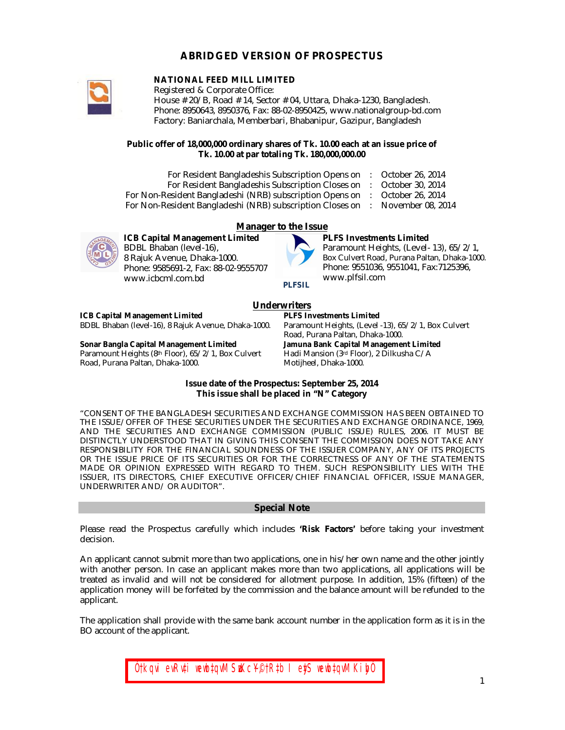# **ABRIDGED VERSION OF PROSPECTUS**



## **NATIONAL FEED MILL LIMITED**

Registered & Corporate Office: House # 20/B, Road # 14, Sector # 04, Uttara, Dhaka-1230, Bangladesh. Phone: 8950643, 8950376, Fax: 88-02-8950425, www.nationalgroup-bd.com Factory: Baniarchala, Memberbari, Bhabanipur, Gazipur, Bangladesh

#### **Public offer of 18,000,000 ordinary shares of Tk. 10.00 each at an issue price of Tk. 10.00 at par totaling Tk. 180,000,000.00**

| For Resident Bangladeshis Subscription Opens on           | October 26, 2014  |
|-----------------------------------------------------------|-------------------|
| For Resident Bangladeshis Subscription Closes on          | October 30, 2014  |
| For Non-Resident Bangladeshi (NRB) subscription Opens on  | October 26, 2014  |
| For Non-Resident Bangladeshi (NRB) subscription Closes on | November 08, 2014 |



## **Manager to the Issue**

**ICB Capital Management Limited** BDBL Bhaban (level-16), 8 Rajuk Avenue, Dhaka-1000. Phone: 9585691-2, Fax: 88-02-9555707 www.icbcml.com.bd



## **PLFS Investments Limited**

Paramount Heights, (Level- 13), 65/2/1, Box Culvert Road, Purana Paltan, Dhaka-1000. Phone: 9551036, 9551041, Fax:7125396, www.plfsil.com

#### **PLFSIL**

## **Underwriters**

# **ICB Capital Management Limited**

BDBL Bhaban (level-16), 8 Rajuk Avenue, Dhaka-1000.

#### **Sonar Bangla Capital Management Limited**

Paramount Heights (8th Floor), 65/2/1, Box Culvert Road, Purana Paltan, Dhaka-1000.

**PLFS Investments Limited** Paramount Heights, (Level -13), 65/2/1, Box Culvert Road, Purana Paltan, Dhaka-1000. **Jamuna Bank Capital Management Limited**  Hadi Mansion (3rd Floor), 2 Dilkusha C/A Motijheel, Dhaka-1000.

#### **Issue date of the Prospectus: September 25, 2014 This issue shall be placed in "N" Category**

"CONSENT OF THE BANGLADESH SECURITIES AND EXCHANGE COMMISSION HAS BEEN OBTAINED TO THE ISSUE/OFFER OF THESE SECURITIES UNDER THE SECURITIES AND EXCHANGE ORDINANCE, 1969, AND THE SECURITIES AND EXCHANGE COMMISSION (PUBLIC ISSUE) RULES, 2006. IT MUST BE DISTINCTLY UNDERSTOOD THAT IN GIVING THIS CONSENT THE COMMISSION DOES NOT TAKE ANY RESPONSIBILITY FOR THE FINANCIAL SOUNDNESS OF THE ISSUER COMPANY, ANY OF ITS PROJECTS OR THE ISSUE PRICE OF ITS SECURITIES OR FOR THE CORRECTNESS OF ANY OF THE STATEMENTS MADE OR OPINION EXPRESSED WITH REGARD TO THEM. SUCH RESPONSIBILITY LIES WITH THE ISSUER, ITS DIRECTORS, CHIEF EXECUTIVE OFFICER/CHIEF FINANCIAL OFFICER, ISSUE MANAGER, UNDERWRITER AND/ OR AUDITOR".

#### **Special Note**

Please read the Prospectus carefully which includes **'Risk Factors'** before taking your investment decision.

An applicant cannot submit more than two applications, one in his/her own name and the other jointly with another person. In case an applicant makes more than two applications, all applications will be treated as invalid and will not be considered for allotment purpose. In addition, 15% (fifteen) of the application money will be forfeited by the commission and the balance amount will be refunded to the applicant.

The application shall provide with the same bank account number in the application form as it is in the BO account of the applicant.

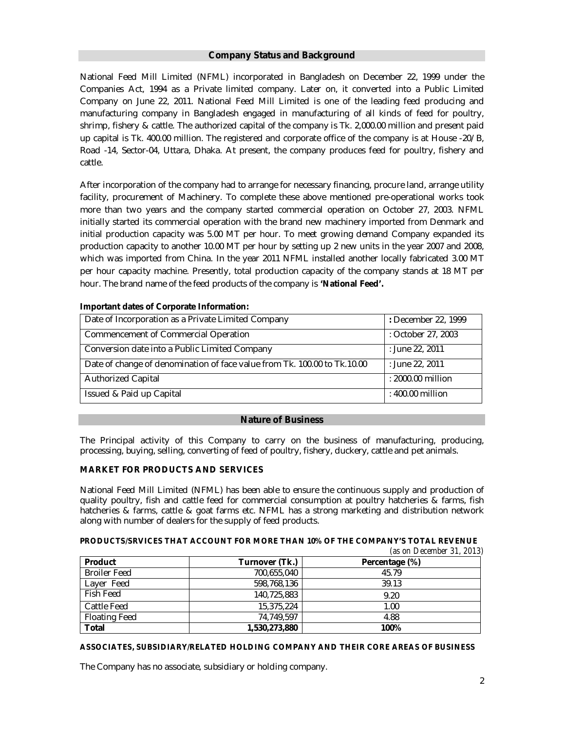## **Company Status and Background**

National Feed Mill Limited (NFML) incorporated in Bangladesh on December 22, 1999 under the Companies Act, 1994 as a Private limited company. Later on, it converted into a Public Limited Company on June 22, 2011. National Feed Mill Limited is one of the leading feed producing and manufacturing company in Bangladesh engaged in manufacturing of all kinds of feed for poultry, shrimp, fishery & cattle. The authorized capital of the company is Tk. 2,000.00 million and present paid up capital is Tk. 400.00 million. The registered and corporate office of the company is at House -20/B, Road -14, Sector-04, Uttara, Dhaka. At present, the company produces feed for poultry, fishery and cattle.

After incorporation of the company had to arrange for necessary financing, procure land, arrange utility facility, procurement of Machinery. To complete these above mentioned pre-operational works took more than two years and the company started commercial operation on October 27, 2003. NFML initially started its commercial operation with the brand new machinery imported from Denmark and initial production capacity was 5.00 MT per hour. To meet growing demand Company expanded its production capacity to another 10.00 MT per hour by setting up 2 new units in the year 2007 and 2008, which was imported from China. In the year 2011 NFML installed another locally fabricated 3.00 MT per hour capacity machine. Presently, total production capacity of the company stands at 18 MT per hour. The brand name of the feed products of the company is **'National Feed'.**

| Date of Incorporation as a Private Limited Company                       | : December 22, 1999 |
|--------------------------------------------------------------------------|---------------------|
| Commencement of Commercial Operation                                     | : October 27, 2003  |
| Conversion date into a Public Limited Company                            | : June 22, 2011     |
| Date of change of denomination of face value from Tk. 100.00 to Tk.10.00 | : June 22, 2011     |
| <b>Authorized Capital</b>                                                | : 2000.00 million   |
| Issued & Paid up Capital                                                 | : 400.00 million    |

#### **Important dates of Corporate Information:**

#### **Nature of Business**

The Principal activity of this Company to carry on the business of manufacturing, producing, processing, buying, selling, converting of feed of poultry, fishery, duckery, cattle and pet animals.

## **MARKET FOR PRODUCTS AND SERVICES**

National Feed Mill Limited (NFML) has been able to ensure the continuous supply and production of quality poultry, fish and cattle feed for commercial consumption at poultry hatcheries & farms, fish hatcheries & farms, cattle & goat farms etc. NFML has a strong marketing and distribution network along with number of dealers for the supply of feed products.

## **PRODUCTS/SRVICES THAT ACCOUNT FOR MORE THAN 10% OF THE COMPANY'S TOTAL REVENUE**

|                      |                | (as on December 31, 2013) |
|----------------------|----------------|---------------------------|
| Product              | Turnover (Tk.) | Percentage (%)            |
| <b>Broiler Feed</b>  | 700,655,040    | 45.79                     |
| Layer Feed           | 598,768,136    | 39.13                     |
| Fish Feed            | 140.725.883    | 9.20                      |
| Cattle Feed          | 15,375,224     | 1.00                      |
| <b>Floating Feed</b> | 74,749,597     | 4.88                      |
| Total                | 1,530,273,880  | 100%                      |

#### **ASSOCIATES, SUBSIDIARY/RELATED HOLDING COMPANY AND THEIR CORE AREAS OF BUSINESS**

The Company has no associate, subsidiary or holding company.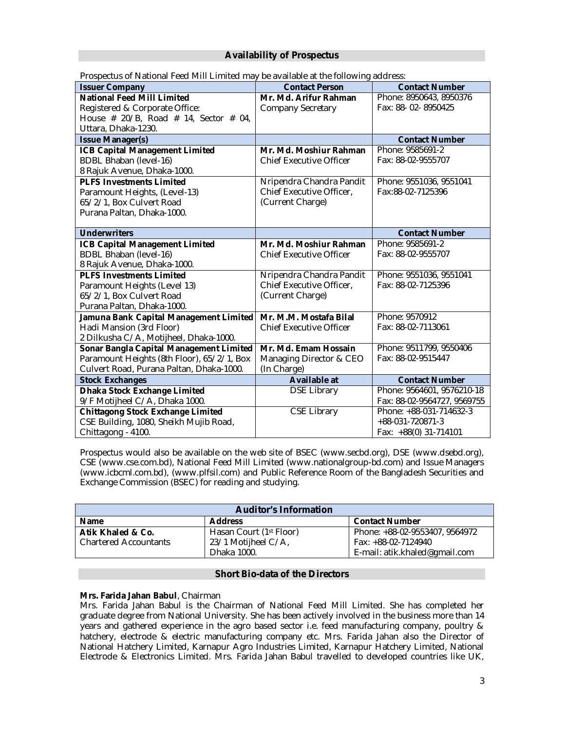## **Availability of Prospectus**

| r rospectus or reational reeu ivilir Ellinteu may be available at the following audiess. |                                |                             |  |  |  |
|------------------------------------------------------------------------------------------|--------------------------------|-----------------------------|--|--|--|
| <b>Issuer Company</b>                                                                    | <b>Contact Person</b>          | <b>Contact Number</b>       |  |  |  |
| <b>National Feed Mill Limited</b>                                                        | Mr. Md. Arifur Rahman          | Phone: 8950643, 8950376     |  |  |  |
| Registered & Corporate Office:                                                           | <b>Company Secretary</b>       | Fax: 88-02-8950425          |  |  |  |
| House # 20/B, Road # 14, Sector # 04,                                                    |                                |                             |  |  |  |
| Uttara, Dhaka-1230.                                                                      |                                |                             |  |  |  |
| <b>Issue Manager(s)</b>                                                                  |                                | <b>Contact Number</b>       |  |  |  |
| <b>ICB Capital Management Limited</b>                                                    | Mr. Md. Moshiur Rahman         | Phone: 9585691-2            |  |  |  |
| <b>BDBL Bhaban (level-16)</b>                                                            | <b>Chief Executive Officer</b> | Fax: 88-02-9555707          |  |  |  |
| 8 Rajuk Avenue, Dhaka-1000.                                                              |                                |                             |  |  |  |
| <b>PLFS Investments Limited</b>                                                          | Nripendra Chandra Pandit       | Phone: 9551036, 9551041     |  |  |  |
| Paramount Heights, (Level-13)                                                            | Chief Executive Officer,       | Fax:88-02-7125396           |  |  |  |
| 65/2/1, Box Culvert Road                                                                 | (Current Charge)               |                             |  |  |  |
| Purana Paltan, Dhaka-1000.                                                               |                                |                             |  |  |  |
|                                                                                          |                                |                             |  |  |  |
| <b>Underwriters</b>                                                                      |                                | <b>Contact Number</b>       |  |  |  |
| <b>ICB Capital Management Limited</b>                                                    | Mr. Md. Moshiur Rahman         | Phone: 9585691-2            |  |  |  |
| <b>BDBL Bhaban (level-16)</b>                                                            | <b>Chief Executive Officer</b> | Fax: 88-02-9555707          |  |  |  |
| 8 Rajuk Avenue, Dhaka-1000.                                                              |                                |                             |  |  |  |
| <b>PLFS Investments Limited</b>                                                          | Nripendra Chandra Pandit       | Phone: 9551036, 9551041     |  |  |  |
| Paramount Heights (Level 13)                                                             | Chief Executive Officer,       | Fax: 88-02-7125396          |  |  |  |
| 65/2/1, Box Culvert Road                                                                 | (Current Charge)               |                             |  |  |  |
| Purana Paltan, Dhaka-1000.                                                               |                                |                             |  |  |  |
| Jamuna Bank Capital Management Limited                                                   | Mr. M.M. Mostafa Bilal         | Phone: 9570912              |  |  |  |
| Hadi Mansion (3rd Floor)                                                                 | <b>Chief Executive Officer</b> | Fax: 88-02-7113061          |  |  |  |
| 2 Dilkusha C/A, Motijheel, Dhaka-1000.                                                   |                                |                             |  |  |  |
| Sonar Bangla Capital Management Limited                                                  | Mr. Md. Emam Hossain           | Phone: 9511799, 9550406     |  |  |  |
| Paramount Heights (8th Floor), 65/2/1, Box                                               | Managing Director & CEO        | Fax: 88-02-9515447          |  |  |  |
| Culvert Road, Purana Paltan, Dhaka-1000.                                                 | (In Charge)                    |                             |  |  |  |
| <b>Stock Exchanges</b>                                                                   | <b>Available at</b>            | <b>Contact Number</b>       |  |  |  |
| <b>Dhaka Stock Exchange Limited</b>                                                      | <b>DSE Library</b>             | Phone: 9564601, 9576210-18  |  |  |  |
| 9/F Motijheel C/A, Dhaka 1000.                                                           |                                | Fax: 88-02-9564727, 9569755 |  |  |  |
| <b>Chittagong Stock Exchange Limited</b>                                                 | <b>CSE Library</b>             | Phone: +88-031-714632-3     |  |  |  |
| CSE Building, 1080, Sheikh Mujib Road,                                                   |                                | +88-031-720871-3            |  |  |  |
| Chittagong - 4100.                                                                       |                                | Fax: +88(0) 31-714101       |  |  |  |

Prospectus of National Feed Mill Limited may be available at the following address:

Prospectus would also be available on the web site of BSEC (www.secbd.org), DSE (www.dsebd.org), CSE (www.cse.com.bd), National Feed Mill Limited (www.nationalgroup-bd.com) and Issue Managers (www.icbcml.com.bd), (www.plfsil.com) and Public Reference Room of the Bangladesh Securities and Exchange Commission (BSEC) for reading and studying.

| <b>Auditor's Information</b>                           |                                     |                                |  |  |
|--------------------------------------------------------|-------------------------------------|--------------------------------|--|--|
| <b>Contact Number</b><br><b>Address</b><br><b>Name</b> |                                     |                                |  |  |
| Atik Khaled & Co.                                      | Hasan Court (1 <sup>st</sup> Floor) | Phone: +88-02-9553407, 9564972 |  |  |
| <b>Chartered Accountants</b>                           | 23/1 Motijheel C/A,                 | Fax: +88-02-7124940            |  |  |
|                                                        | Dhaka 1000.                         | E-mail: atik.khaled@gmail.com  |  |  |

## **Short Bio-data of the Directors**

## **Mrs. Farida Jahan Babul**, Chairman

Mrs. Farida Jahan Babul is the Chairman of National Feed Mill Limited. She has completed her graduate degree from National University. She has been actively involved in the business more than 14 years and gathered experience in the agro based sector i.e. feed manufacturing company, poultry & hatchery, electrode & electric manufacturing company etc. Mrs. Farida Jahan also the Director of National Hatchery Limited, Karnapur Agro Industries Limited, Karnapur Hatchery Limited, National Electrode & Electronics Limited. Mrs. Farida Jahan Babul travelled to developed countries like UK,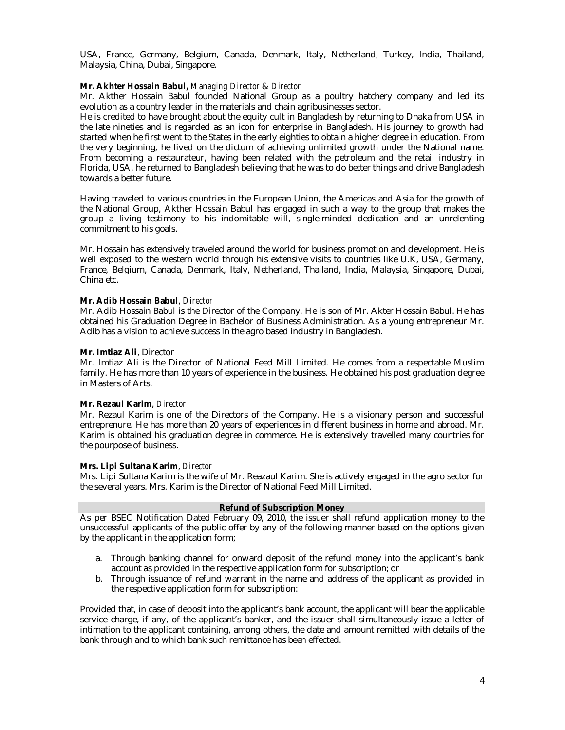USA, France, Germany, Belgium, Canada, Denmark, Italy, Netherland, Turkey, India, Thailand, Malaysia, China, Dubai, Singapore.

## **Mr. Akhter Hossain Babul,** *Managing Director* & *Director*

Mr. Akther Hossain Babul founded National Group as a poultry hatchery company and led its evolution as a country leader in the materials and chain agribusinesses sector.

He is credited to have brought about the equity cult in Bangladesh by returning to Dhaka from USA in the late nineties and is regarded as an icon for enterprise in Bangladesh. His journey to growth had started when he first went to the States in the early eighties to obtain a higher degree in education. From the very beginning, he lived on the dictum of achieving unlimited growth under the National name. From becoming a restaurateur, having been related with the petroleum and the retail industry in Florida, USA, he returned to Bangladesh believing that he was to do better things and drive Bangladesh towards a better future.

Having traveled to various countries in the European Union, the Americas and Asia for the growth of the National Group, Akther Hossain Babul has engaged in such a way to the group that makes the group a living testimony to his indomitable will, single-minded dedication and an unrelenting commitment to his goals.

Mr. Hossain has extensively traveled around the world for business promotion and development. He is well exposed to the western world through his extensive visits to countries like U.K, USA, Germany, France, Belgium, Canada, Denmark, Italy, Netherland, Thailand, India, Malaysia, Singapore, Dubai, China etc.

#### **Mr. Adib Hossain Babul**, *Director*

Mr. Adib Hossain Babul is the Director of the Company. He is son of Mr. Akter Hossain Babul. He has obtained his Graduation Degree in Bachelor of Business Administration. As a young entrepreneur Mr. Adib has a vision to achieve success in the agro based industry in Bangladesh.

#### **Mr. Imtiaz Ali**, Director

Mr. Imtiaz Ali is the Director of National Feed Mill Limited. He comes from a respectable Muslim family. He has more than 10 years of experience in the business. He obtained his post graduation degree in Masters of Arts.

## **Mr. Rezaul Karim**, *Director*

Mr. Rezaul Karim is one of the Directors of the Company. He is a visionary person and successful entreprenure. He has more than 20 years of experiences in different business in home and abroad. Mr. Karim is obtained his graduation degree in commerce. He is extensively travelled many countries for the pourpose of business.

## **Mrs. Lipi Sultana Karim**, *Director*

Mrs. Lipi Sultana Karim is the wife of Mr. Reazaul Karim. She is actively engaged in the agro sector for the several years. Mrs. Karim is the Director of National Feed Mill Limited.

## **Refund of Subscription Money**

As per BSEC Notification Dated February 09, 2010, the issuer shall refund application money to the unsuccessful applicants of the public offer by any of the following manner based on the options given by the applicant in the application form;

- a. Through banking channel for onward deposit of the refund money into the applicant's bank account as provided in the respective application form for subscription; or
- b. Through issuance of refund warrant in the name and address of the applicant as provided in the respective application form for subscription:

Provided that, in case of deposit into the applicant's bank account, the applicant will bear the applicable service charge, if any, of the applicant's banker, and the issuer shall simultaneously issue a letter of intimation to the applicant containing, among others, the date and amount remitted with details of the bank through and to which bank such remittance has been effected.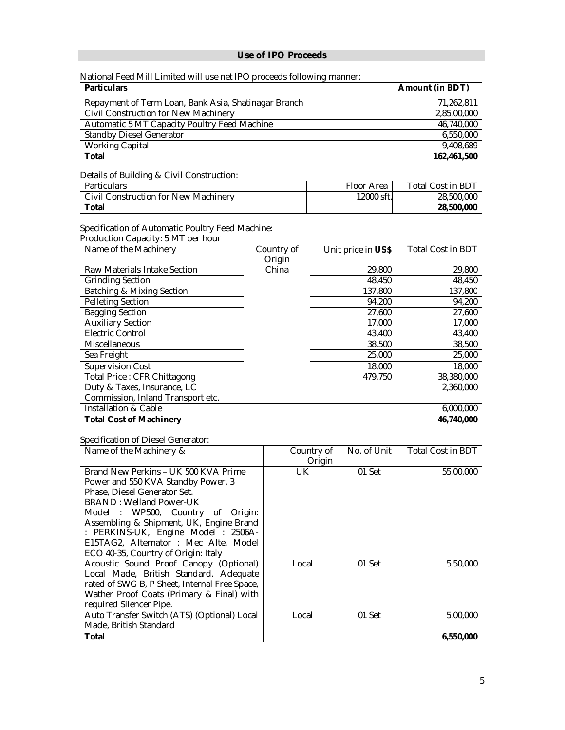## **Use of IPO Proceeds**

National Feed Mill Limited will use net IPO proceeds following manner:

| <b>Particulars</b>                                   | <b>Amount (in BDT)</b> |
|------------------------------------------------------|------------------------|
| Repayment of Term Loan, Bank Asia, Shatinagar Branch | 71.262.811             |
| Civil Construction for New Machinery                 | 2,85,00,000            |
| Automatic 5 MT Capacity Poultry Feed Machine         | 46,740,000             |
| <b>Standby Diesel Generator</b>                      | 6,550,000              |
| <b>Working Capital</b>                               | 9,408,689              |
| Total                                                | 162,461,500            |

#### Details of Building & Civil Construction:

| Particulars                          | Floor Area | <b>Total Cost in BDT</b> |
|--------------------------------------|------------|--------------------------|
| Civil Construction for New Machinery | 12000 sft. | 28,500,000               |
| Total                                |            | 28,500,000               |

## Specification of Automatic Poultry Feed Machine: Production Capacity: 5 MT per hour

| Name of the Machinery             | Country of | Unit price in US\$ | <b>Total Cost in BDT</b> |
|-----------------------------------|------------|--------------------|--------------------------|
|                                   | Origin     |                    |                          |
| Raw Materials Intake Section      | China      | 29,800             | 29,800                   |
| <b>Grinding Section</b>           |            | 48,450             | 48,450                   |
| Batching & Mixing Section         |            | 137,800            | 137,800                  |
| Pelleting Section                 |            | 94,200             | 94,200                   |
| <b>Bagging Section</b>            |            | 27,600             | 27,600                   |
| <b>Auxiliary Section</b>          |            | 17,000             | 17,000                   |
| <b>Electric Control</b>           |            | 43,400             | 43,400                   |
| <b>Miscellaneous</b>              |            | 38,500             | 38,500                   |
| Sea Freight                       |            | 25,000             | 25,000                   |
| Supervision Cost                  |            | 18,000             | 18,000                   |
| Total Price: CFR Chittagong       |            | 479,750            | 38,380,000               |
| Duty & Taxes, Insurance, LC       |            |                    | 2,360,000                |
| Commission, Inland Transport etc. |            |                    |                          |
| Installation & Cable              |            |                    | 6,000,000                |
| <b>Total Cost of Machinery</b>    |            |                    | 46,740,000               |

## Specification of Diesel Generator:

| Name of the Machinery &                       | Country of | No. of Unit | <b>Total Cost in BDT</b> |
|-----------------------------------------------|------------|-------------|--------------------------|
|                                               | Origin     |             |                          |
| Brand New Perkins - UK 500 KVA Prime          | UK.        | 01 Set      | 55,00,000                |
| Power and 550 KVA Standby Power, 3            |            |             |                          |
| Phase, Diesel Generator Set.                  |            |             |                          |
| <b>BRAND: Welland Power-UK</b>                |            |             |                          |
| Model: WP500, Country of Origin:              |            |             |                          |
| Assembling & Shipment, UK, Engine Brand       |            |             |                          |
| : PERKINS-UK, Engine Model : 2506A-           |            |             |                          |
| E15TAG2, Alternator: Mec Alte, Model          |            |             |                          |
| ECO 40-35, Country of Origin: Italy           |            |             |                          |
| Acoustic Sound Proof Canopy (Optional)        | Local      | 01 Set      | 5,50,000                 |
| Local Made, British Standard. Adequate        |            |             |                          |
| rated of SWG B, P Sheet, Internal Free Space, |            |             |                          |
| Wather Proof Coats (Primary & Final) with     |            |             |                          |
| required Silencer Pipe.                       |            |             |                          |
| Auto Transfer Switch (ATS) (Optional) Local   | Local      | 01 Set      | 5,00,000                 |
| Made, British Standard                        |            |             |                          |
| Total                                         |            |             | 6,550,000                |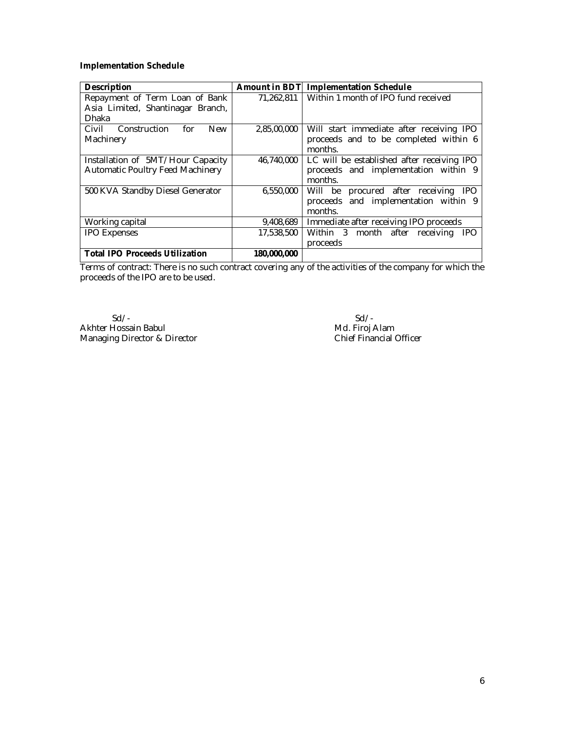## **Implementation Schedule**

| <b>Description</b>                         | <b>Amount in BDT</b> | <b>Implementation Schedule</b>                  |  |  |
|--------------------------------------------|----------------------|-------------------------------------------------|--|--|
| Repayment of Term Loan of Bank             | 71,262,811           | Within 1 month of IPO fund received             |  |  |
| Asia Limited, Shantinagar Branch,          |                      |                                                 |  |  |
| Dhaka                                      |                      |                                                 |  |  |
| Civil<br>Construction<br>for<br><b>New</b> | 2,85,00,000          | Will start immediate after receiving IPO        |  |  |
| Machinery                                  |                      | proceeds and to be completed within 6           |  |  |
|                                            |                      | months.                                         |  |  |
| Installation of 5MT/Hour Capacity          | 46,740,000           | LC will be established after receiving IPO      |  |  |
| Automatic Poultry Feed Machinery           |                      | proceeds and implementation within 9            |  |  |
|                                            |                      | months.                                         |  |  |
| 500 KVA Standby Diesel Generator           | 6,550,000            | Will be procured after receiving IPO            |  |  |
|                                            |                      | proceeds and implementation within 9            |  |  |
|                                            |                      | months.                                         |  |  |
| Working capital                            | 9,408,689            | Immediate after receiving IPO proceeds          |  |  |
| <b>IPO Expenses</b>                        | 17,538,500           | Within 3 month after<br>receiving<br><b>IPO</b> |  |  |
|                                            |                      | proceeds                                        |  |  |
| <b>Total IPO Proceeds Utilization</b>      | 180,000,000          |                                                 |  |  |

Terms of contract: There is no such contract covering any of the activities of the company for which the proceeds of the IPO are to be used.

 Sd/- Akhter Hossain Babul Managing Director & Director

 Sd/- Md. Firoj Alam Chief Financial Officer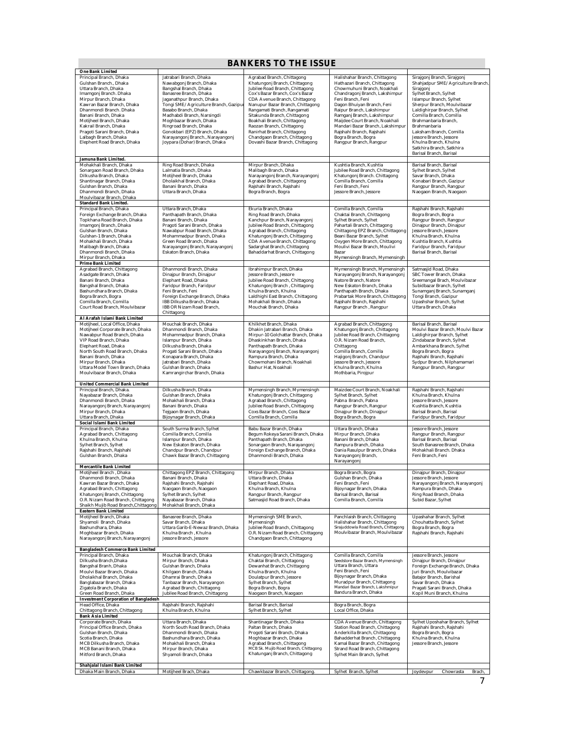| <b>BANKERS TO THE ISSUE</b>                                                                                                                                                                                                                                                                                                   |                                                                                                                                                                                                                                                                                                                                                                   |                                                                                                                                                                                                                                                                                                                                                                                                        |                                                                                                                                                                                                                                                                                                                                                                  |                                                                                                                                                                                                                                                                                                                                                                             |
|-------------------------------------------------------------------------------------------------------------------------------------------------------------------------------------------------------------------------------------------------------------------------------------------------------------------------------|-------------------------------------------------------------------------------------------------------------------------------------------------------------------------------------------------------------------------------------------------------------------------------------------------------------------------------------------------------------------|--------------------------------------------------------------------------------------------------------------------------------------------------------------------------------------------------------------------------------------------------------------------------------------------------------------------------------------------------------------------------------------------------------|------------------------------------------------------------------------------------------------------------------------------------------------------------------------------------------------------------------------------------------------------------------------------------------------------------------------------------------------------------------|-----------------------------------------------------------------------------------------------------------------------------------------------------------------------------------------------------------------------------------------------------------------------------------------------------------------------------------------------------------------------------|
| One Bank Limited<br>Principal Branch, Dhaka                                                                                                                                                                                                                                                                                   | Jatrabari Branch, Dhaka                                                                                                                                                                                                                                                                                                                                           | Agrabad Branch, Chittagong                                                                                                                                                                                                                                                                                                                                                                             | Halishahar Branch, Chittagong                                                                                                                                                                                                                                                                                                                                    | Sirajgonj Branch, Sirajgonj                                                                                                                                                                                                                                                                                                                                                 |
| Gulshan Branch., Dhaka<br>Uttara Branch, Dhaka<br>Imamgonj Branch. Dhaka<br>Mirpur Branch, Dhaka<br>Kawran Bazar Branch, Dhaka<br>Dhanmondi Branch. Dhaka<br>Banani Branch, Dhaka<br>Motijheel Branch, Dhaka<br>Kakrail Branch, Dhaka<br>Pragoti Sarani Branch, Dhaka<br>Lalbagh Branch, Dhaka<br>Elephent Road Branch, Dhaka | Nawabgonj Branch, Dhaka<br>Bangshal Branch, Dhaka<br>Banasree Branch, Dhaka<br>Jaganathpur Branch, Dhaka<br>Tongi SME/Agriculture Branch, Gazipu<br>Basabo Branch, Dhaka<br>Madhabdi Branch, Narsingdi<br>Moghbazar Branch, Dhaka<br>Ringroad Branch, Dhaka<br>Gonokbari (EPZ) Branch, Dhaka<br>Narayangonj Branch., Narayangonj<br>Joypara (Dohar) Branch, Dhaka | Khatungoni Branch, Chittagong<br>Jubilee Road Branch, Chittagong<br>Cox's Bazar Branch, Cox's Bazar<br>CDA Avenue Branch, Chittagong<br>Nanupur Bazar Branch, Chittagong<br>Rangamati Branch, Rangamati<br>Sitakunda Branch, Chittagong<br>Boakhali Branch, Chittagong<br>Raozan Branch, Chittagong<br>Ranirhat Branch, Chittagong<br>Chandgaon Branch, Chittagong<br>Dovashi Bazar Branch, Chittagong | Hathazari Branch, Chittagong<br>Chowmuhuni Branch, Noakhali<br>Chandragonj Branch, Lakshimpur<br>Feni Branch, Feni<br>Dagon Bhuiyan Branch, Feni<br>Raipur Branch, Lakshimpur<br>Ramganj Branch, Lakshimpur<br>Maijdee Court Branch, Noakhali<br>Mandari Bazar Branch, Lakshimpur<br>Rajshahi Branch, Rajshahi<br>Bogra Branch, Bogra<br>Rangpur Branch, Rangpur | Shahiadpur SME/Agriculture Branch.<br>Sirajgonj<br>Sylhet Branch, Sylhet<br>Islampur Branch, Sylhet<br>Sherpur Branch, Moulvibazar<br>Laldighirpar Branch, Sylhet<br>Comilla Branch, Comilla<br>Brahmanbaria Branch,<br>Brahmanbaria<br>Laksham Branch, Comilla<br>Jessore Branch, Jessore<br>Khulna Branch, Khulna<br>Satkhira Branch, Satkhira<br>Barisal Branch, Barisal |
| Jamuna Bank Limited.<br>Mohakhali Branch, Dhaka                                                                                                                                                                                                                                                                               | Ring Road Branch, Dhaka                                                                                                                                                                                                                                                                                                                                           | Mirpur Branch, Dhaka                                                                                                                                                                                                                                                                                                                                                                                   | Kushtia Branch, Kushtia                                                                                                                                                                                                                                                                                                                                          | Barisal Branch, Barisal                                                                                                                                                                                                                                                                                                                                                     |
| Sonargaon Road Branch, Dhaka<br>Dilkusha Branch, Dhaka<br>Shantinagar Branch, Dhaka<br>Gulshan Branch, Dhaka<br>Dhanmondi Branch, Dhaka<br>Moulvibazar Branch, Dhaka<br><b>Standard Bank Limited.</b>                                                                                                                         | Lalmatia Branch, Dhaka<br>Motijheel Branch, Dhaka<br>Dholaikhal Branch, Dhaka<br>Banani Branch, Dhaka<br>Uttara Branch, Dhaka                                                                                                                                                                                                                                     | Malibagh Branch, Dhaka<br>Narayangonj Branch, Narayangonj<br>Agrabad Branch, Chittagong<br>Rajshahi Branch, Rajshahi<br>Bogra Branch, Bogra                                                                                                                                                                                                                                                            | Jubilee Road Branch, Chittagong<br>Khatungonj Branch. Chittagong<br>Comilla Branch, Comilla<br>Feni Branch, Feni<br>Jessore Branch, Jessore                                                                                                                                                                                                                      | Sylhet Branch, Sylhet<br>Savar Branch, Dhaka<br>Konabari Branch, Gazipur<br>Rangpur Branch, Rangpur<br>Naogaon Branch, Naogaon                                                                                                                                                                                                                                              |
| Principal Branch, Dhaka                                                                                                                                                                                                                                                                                                       | Uttara Branch, Dhaka                                                                                                                                                                                                                                                                                                                                              | Ekuria Branch, Dhaka                                                                                                                                                                                                                                                                                                                                                                                   | Comilla Branch, Comilla                                                                                                                                                                                                                                                                                                                                          | Rajshahi Branch, Rajshahi                                                                                                                                                                                                                                                                                                                                                   |
| Foreign Exchange Branch, Dhaka<br>Topkhana Road Branch, Dhaka<br>Imamgonj Branch, Dhaka<br>Gulshan Branch, Dhaka<br>Gulshan-1 Branch, Dhaka<br>Mohakhali Branch, Dhaka<br>Malibagh Branch, Dhaka<br>Dhanmondi Branch, Dhaka<br>Mirpur Branch, Dhaka                                                                           | Panthapath Branch, Dhaka<br>Banani Branch, Dhaka<br>Pragoti Sarani Branch, Dhaka<br>Nawabpur Road Branch, Dhaka<br>Mohammadpur Branch, Dhaka<br>Green Road Branch, Dhaka<br>Narayangonj Branch, Narayangonj<br>Eskaton Branch, Dhaka                                                                                                                              | Ring Road Branch, Dhaka<br>Kanchpur Branch, Narayangonj<br>Jubilee Road Branch, Chittagong<br>Agrabad Branch, Chittagong<br>Khatungonj Branch, Chittagong<br>CDA Avenue Branch, Chittagong<br>Sadarghat Branch, Chittagong<br>Bahaddarhat Branch, Chittagong                                                                                                                                           | Chaktai Branch, Chittagong<br>Sylhet Branch, Sylhet<br>Pahartali Branch, Chittagong<br>Chittagong EPZ Branch, Chittagong<br>Beani Bazar Branch, Sylhet<br>Oxygen More Branch, Chittagong<br>Moulivi Bazar Branch, Moulivi<br>Bazar<br>Mymensingh Branch, Mymensingh                                                                                              | Bogra Branch, Bogra<br>Rangpur Branch, Rangpur<br>Dinajpur Branch, Dinajpur<br>Jessore Branch, Jessore<br>Khulna Branch, Khulna<br>Kushtia Branch, Kushtia<br>Faridpur Branch, Faridpur<br>Barisal Branch, Barisal                                                                                                                                                          |
| <b>Prime Bank Limited</b><br>Agrabad Branch, Chittagong                                                                                                                                                                                                                                                                       |                                                                                                                                                                                                                                                                                                                                                                   |                                                                                                                                                                                                                                                                                                                                                                                                        |                                                                                                                                                                                                                                                                                                                                                                  |                                                                                                                                                                                                                                                                                                                                                                             |
| Asadgate Branch, Dhaka<br>Banani Branch, Dhaka<br>Bangshal Branch, Dhaka<br>Bashundhara Branch, Dhaka<br>Bogra Branch, Bogra<br>Comilla Branch, Comilla<br>Court Road Branch, Moulvibazar                                                                                                                                     | Dhanmondi Branch, Dhaka<br>Dinajpur Branch, Dinajpur<br>Elephant Road, Dhaka<br>Faridpur Branch, Faridpur<br>Feni Branch, Feni<br>Foreign Exchange Branch, Dhaka<br>IBB Dilkusha Branch, Dhaka<br>IBB OR Nizam Road Branch,<br>Chittagong                                                                                                                         | Ibrahimpur Branch, Dhaka<br>Jessore Branch, Jessore<br>Jubilee Road Branch, Chittagong<br>Khatungonj Branch, Chittagong<br>Khulna Branch, Khulna<br>Laldhighi East Branch, Chittagong<br>Mohakhali Branch, Dhaka<br>Mouchak Branch, Dhaka                                                                                                                                                              | Mymensingh Branch, Mymensingh<br>Narayangonj Branch, Narayangonj<br>Natore Branch, Natore<br>New Eskaton Branch, Dhaka<br>Panthapath Branch, Dhaka<br>Prabartak More Branch, Chittagong<br>Rajshahi Branch, Rajshahi<br>Rangpur Branch, Rangpur                                                                                                                  | Satmasjid Road, Dhaka<br>SBC Tower Branch, Dhaka<br>Sreemangal Brach, Moulvibazar<br>Subidbazar Branch, Sylhet<br>Sunamganj Branch, Sunamganj<br>Tongi Branch, Gazipur<br>Upashshar Branch, Sylhet<br>Uttara Branch, Dhaka                                                                                                                                                  |
| Al Arafah Islami Bank Limited<br>Motijheel, Local Office, Dhaka                                                                                                                                                                                                                                                               | Mouchak Branch, Dhaka                                                                                                                                                                                                                                                                                                                                             | Khilkhet Branch, Dhaka                                                                                                                                                                                                                                                                                                                                                                                 | Agrabad Branch, Chittagong                                                                                                                                                                                                                                                                                                                                       | Barisal Branch, Barisal                                                                                                                                                                                                                                                                                                                                                     |
| Motijheel Corporate Branch, Dhaka<br>Nawabpur Road Branch, Dhaka<br>VIP Road Branch, Dhaka<br>Elephant Road, Dhaka<br>North South Road Branch, Dhaka<br>Banani Branch, Dhaka<br>Mirpur Branch, Dhaka<br>Uttara Model Town Branch, Dhaka<br>Moulvibazar Branch, Dhaka                                                          | Dhanmondi Branch, Dhaka<br>Mohammadpur Branch, Dhaka<br>Islampur Branch, Dhaka<br>Dilkusha Branch, Dhaka<br>Progati Sarani Branch, Dhaka<br>Konapara Branch, Dhaka<br>Jatrabari Branch, Dhaka<br>Gulshan Branch, Dhaka<br>Kamrangirchar Branch, Dhaka                                                                                                             | Dhakin Jatrabari Branch, Dhaka<br>Mirpur-10 Golchattar Branch, Dhaka<br>Dhaskinkhan Branch, Dhaka<br>Panthapath Branch, Dhaka<br>Narayangonj Branch, Narayangonj<br>Rampura Branch, Dhaka<br>Chowmohani Branch, Noakhali<br>Bashur Hat, Noakhali                                                                                                                                                       | Khatungonj Branch, Chittagong<br>Jubilee Road Branch, Chittagong<br>O.R. Nizam Road Branch,<br>Chittagong<br>Comilla Branch, Comilla<br>Hajigonj Branch, Chandpur<br>Jessore Branch, Jessore<br>Khulna Branch, Khulna<br>Mothbaria, Pirojpur                                                                                                                     | Moulvi Bazar Branch, Moulvi Bazar<br>Laldighirpar Branch, Sylhet<br>Zindabazar Branch, Sylhet<br>Ambarkhana Branch, Sylhet<br>Bogra Branch, Bogra<br>Rajshahi Branch, Rajshahi<br>Sydpur Branch, Nilphamamari<br>Rangpur Branch, Rangpur                                                                                                                                    |
| <b>United Commercial Bank Limited</b><br>Principal Branch, Dhaka.                                                                                                                                                                                                                                                             | Dilkusha Branch, Dhaka                                                                                                                                                                                                                                                                                                                                            | Mymensingh Branch, Mymensingh                                                                                                                                                                                                                                                                                                                                                                          | Maizdee Court Branch, Noakhali                                                                                                                                                                                                                                                                                                                                   | Rajshahi Branch, Rajshahi                                                                                                                                                                                                                                                                                                                                                   |
| Nayabazar Branch, Dhaka<br>Dhanmondi Branch, Dhaka<br>Narayangonj Branch, Narayangonj<br>Mirpur Branch, Dhaka<br>Uttara Branch, Dhaka<br>Social Islami Bank Limited                                                                                                                                                           | Gulshan Branch, Dhaka<br>Mohakhali Branch, Dhaka<br>Banani Branch, Dhaka<br>Tejgaon Branch, Dhaka<br>Bijoynagar Branch, Dhaka                                                                                                                                                                                                                                     | Khatungonj Branch, Chittagong<br>Agrabad Branch, Chittagong<br>Jubilee Road Branch, Chittagong<br>Coxs Bazar Branch, Coxs Bazar<br>Comilla Branch, Comilla                                                                                                                                                                                                                                             | Sylhet Branch, Sylhet<br>Pabna Branch, Pabna<br>Rangpur Branch, Rangpur<br>Dinajpur Branch, Dinajpur<br>Bogra Branch, Bogra                                                                                                                                                                                                                                      | Khulna Branch, Khulna<br>Jessore Branch, Jessore<br>Kushtia Branch, Kushtia<br>Barisal Branch, Barisal<br>Faridpur Branch, Faridpur                                                                                                                                                                                                                                         |
| Principal Branch, Dhaka                                                                                                                                                                                                                                                                                                       | South Surma Branch, Sylhet                                                                                                                                                                                                                                                                                                                                        | Babu Bazar Branch, Dhaka                                                                                                                                                                                                                                                                                                                                                                               | Uttara Branch, Dhaka                                                                                                                                                                                                                                                                                                                                             | Jessore Branch, Jessore                                                                                                                                                                                                                                                                                                                                                     |
| Agrabad Branch, Chittagong<br>Khulna Branch, Khulna<br>Sylhet Branch, Sylhet<br>Rajshahi Branch, Rajshahi<br>Gulshan Branch, Dhaka                                                                                                                                                                                            | Comilla Branch, Comilla<br>Islampur Branch, Dhaka<br>New Eskaton Branch, Dhaka<br>Chandpur Branch, Chandpur<br>Chawk Bazar Branch, Chittagong                                                                                                                                                                                                                     | Begum Rokeya Sarani Branch, Dhaka<br>Panthapath Branch, Dhaka<br>Sonargaon Branch, Narayangonj<br>Foreign Exchange Branch, Dhaka<br>Dhanmondi Branch, Dhaka                                                                                                                                                                                                                                            | Mirpur Branch, Dhaka<br>Banani Branch, Dhaka<br>Rampura Branch, Dhaka<br>Dania Rasulpur Branch, Dhaka<br>Narayangonj Branch,<br>Narayangonj                                                                                                                                                                                                                      | Rangpur Branch, Rangpur<br>Barisal Branch, Barisal<br>South Banasree Branch, Dhaka<br>Mohakhali Branch. Dhaka<br>Feni Branch, Feni                                                                                                                                                                                                                                          |
| <b>Mercantile Bank Limited</b><br>ivioujneei Branch , Dhaka                                                                                                                                                                                                                                                                   | Unitiagong EPZ Branch, Unitiagong                                                                                                                                                                                                                                                                                                                                 | iviirpur Branch, Dhaka                                                                                                                                                                                                                                                                                                                                                                                 | Bogra Branch, Bogra                                                                                                                                                                                                                                                                                                                                              | Dinajpur Branch, Dinajpur                                                                                                                                                                                                                                                                                                                                                   |
| Dhanmondi Branch, Dhaka<br>Kawran Bazar Branch, Dhaka<br>Agrabad Branch, Chittagong<br>Khatungonj Branch, Chittagong<br>O.R. Nizam Road Branch, Chittagong<br>Shaikh Mujib Road Branch, Chittagong<br><b>Eastern Bank Limited</b>                                                                                             | Banani Branch, Dhaka<br>Rajshahi Branch, Rajshahi<br>Naogaon Branch, Naogaon<br>Sylhet Branch, Sylhet<br>Navabazar Branch, Dhaka<br>Mohakhali Branch, Dhaka                                                                                                                                                                                                       | Uttara Branch, Dhaka<br>Elephant Road, Dhaka.<br>Khulna Branch, Khulna<br>Rangpur Branch, Rangpur<br>Satmasjid Road Branch, Dhaka                                                                                                                                                                                                                                                                      | Gulshan Branch, Dhaka<br>Feni Branch, Feni<br>Bijoynagar Branch, Dhaka<br>Barisal Branch, Barisal<br>Comilla Branch, Comilla                                                                                                                                                                                                                                     | Jessore Branch, Jessore<br>Narayangonj Branch, Narayangonj<br>Rampura Branch, Dhaka<br>Ring Road Branch, Dhaka<br>Subid Bazar, Sylhet                                                                                                                                                                                                                                       |
| Motijheel Branch, Dhaka                                                                                                                                                                                                                                                                                                       | Banasree Branch, Dhaka                                                                                                                                                                                                                                                                                                                                            | Mymensingh SME Branch,                                                                                                                                                                                                                                                                                                                                                                                 | Panchlaish Branch, Chittagong                                                                                                                                                                                                                                                                                                                                    | Upashahar Branch, Sylhet                                                                                                                                                                                                                                                                                                                                                    |
| Shyamoli Branch, Dhaka<br>Bashundhara, Dhaka<br>Moghbazar Branch, Dhaka<br>Narayangonj Branch, Narayangonj<br><b>Bangladesh Commerce Bank Limited</b>                                                                                                                                                                         | Savar Branch, Dhaka<br>Uttara Garib-E-Newaz Branch, Dhaka<br>Khulna Branch, Khulna<br>Jessore Branch, Jessore                                                                                                                                                                                                                                                     | Mymensingh<br>Jubilee Road Branch, Chittagong<br>O.R. Nizam Road Branch, Chittagong<br>Chandgaon Branch, Chittagong                                                                                                                                                                                                                                                                                    | Halishahar Branch, Chittagong<br>Sirajuddowla Road Branch, Chittagong<br>Moulvibazar Branch, Moulvibazar                                                                                                                                                                                                                                                         | Chouhatta Branch, Sylhet<br>Bogra Branch, Bogra<br>Rajshahi Branch, Rajshahi                                                                                                                                                                                                                                                                                                |
| Principal Branch, Dhaka                                                                                                                                                                                                                                                                                                       | Mouchak Branch, Dhaka                                                                                                                                                                                                                                                                                                                                             | Khatungonj Branch, Chittagong                                                                                                                                                                                                                                                                                                                                                                          | Comilla Branch, Comilla                                                                                                                                                                                                                                                                                                                                          | Jessore Branch, Jessore                                                                                                                                                                                                                                                                                                                                                     |
| Dilkusha Branch, Dhaka<br>Bangshal Branh, Dhaka<br>Moulvi Bazar Branch, Dhaka<br>Dholaikhal Branch, Dhaka<br>Banglabazar Branch, Dhaka<br>Zigatola Branch, Dhaka<br>Green Road Branch, Dhaka                                                                                                                                  | Mirpur Branch, Dhaka<br>Gulshan Branch, Dhaka<br>Khilgaon Branch, Dhaka<br>Dhamrai Branch, Dhaka<br>Tanbazar Branch, Narayangon<br>Agrabad Branch, Chittagong<br>Jubilee Road Branch, Chittagong                                                                                                                                                                  | Chaktai Branch, Chittagong<br>Dewanhat Branch, Chittagong<br>Khulna Branch, Khulna<br>Doulatpur Branch, Jessore<br>Sylhet Branch, Sylhet<br>Bogra Branch, Bogra<br>Naogaon Branch, Naogaon                                                                                                                                                                                                             | Seedstore Bazar Branch, Mymensingh<br>Uttara Branch, Uttara<br>Feni Branch, Feni<br>Bijoynagar Branch, Dhaka<br>Muradpur Branch, Chittagong<br>Mandari Bazar Branch, Lakshmipur<br>Bandura Branch, Dhaka                                                                                                                                                         | Dinajpur Branch, Dinajpur<br>Foreign Exchange Branch, Dhaka<br>Juri Branch, Moulvibazar<br>Batajor Branch, Barishal<br>Savar Branch, Dhaka<br>Pragati Sarani Branch, Dhaka<br>Kopil Muni Branch, Khulna                                                                                                                                                                     |
| <b>Investment Corporation of Bangladesh</b><br>Head Office, Dhaka<br>Chittagong Branch, Chittagong                                                                                                                                                                                                                            | Rajshahi Branch, Rajshahi<br>Khulna Branch, Khulna                                                                                                                                                                                                                                                                                                                | Barisal Branch, Barisal<br>Sylhet Branch, Sylhet                                                                                                                                                                                                                                                                                                                                                       | Bogra Branch, Bogra<br>Local Office, Dhaka                                                                                                                                                                                                                                                                                                                       |                                                                                                                                                                                                                                                                                                                                                                             |
| <b>Bank Asia Limited</b><br>Corporate Branch, Dhaka                                                                                                                                                                                                                                                                           | Uttara Branch, Dhaka                                                                                                                                                                                                                                                                                                                                              | Shantinagar Branch, Dhaka                                                                                                                                                                                                                                                                                                                                                                              | CDA Avenue Branch, Chittagong                                                                                                                                                                                                                                                                                                                                    | Sylhet Uposhahar Branch, Sylhet                                                                                                                                                                                                                                                                                                                                             |
| Principal Office Branch, Dhaka<br>Gulshan Branch, Dhaka<br>Scotia Branch, Dhaka<br>MCB Dilkusha Branch, Dhaka<br>MCB Banani Branch, Dhaka<br>Mitford Branch, Dhaka                                                                                                                                                            | North South Road Branch, Dhaka<br>Dhanmondi Branch, Dhaka<br>Bashundhara Branch, Dhaka<br>Mohakhali Branch, Dhaka<br>Mirpur Branch, Dhaka<br>Shyamoli Branch, Dhaka                                                                                                                                                                                               | Paltan Branch, Dhaka<br>Progoti Sarani Branch, Dhaka<br>Moghbazar Branch, Dhaka<br>Agrabad Branch, Chittagong<br>MCB Sk. Mujib Road Branch, Chittagong<br>Khatunganj Branch, Chittagong                                                                                                                                                                                                                | Station Road Branch, Chittagong<br>Anderkilla Branch, Chittagong<br>Bahadderhat Branch, Chittagong<br>Kamal Bazar Branch, Chittagong<br>Strand Road Branch, Chittagong<br>Sylhet Main Branch, Sylhet                                                                                                                                                             | Rajshahi Branch, Rajshahi<br>Bogra Branch, Bogra<br>Khulna Branch, Khulna<br>Jessore Branch, Jessore                                                                                                                                                                                                                                                                        |
| Shahjalal Islami Bank Limited<br>Dhaka Main Branch, Dhaka                                                                                                                                                                                                                                                                     | Motijheel Brach, Dhaka                                                                                                                                                                                                                                                                                                                                            | Chawkbazar Branch, Chittagong.                                                                                                                                                                                                                                                                                                                                                                         | Sylhet Branch, Sylhet                                                                                                                                                                                                                                                                                                                                            | Joydevpur<br>Chowrasta<br>Brach,                                                                                                                                                                                                                                                                                                                                            |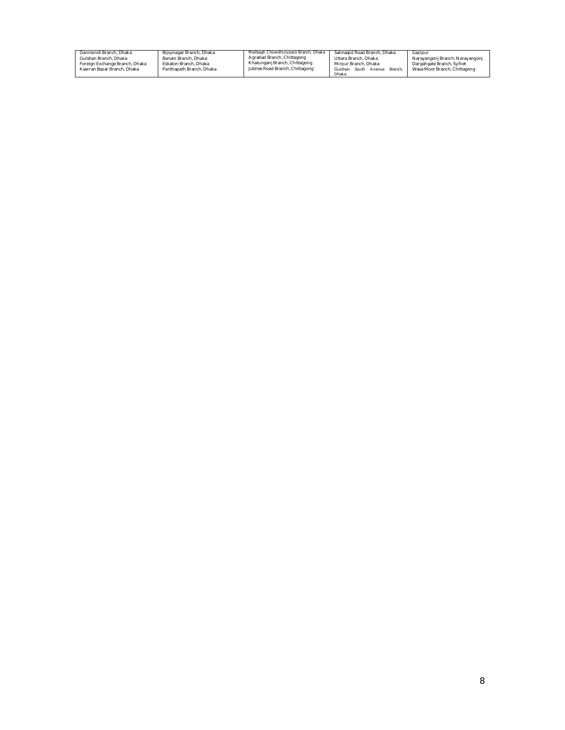| Danmondi Branch, Dhaka<br>Gulshan Branch, Dhaka<br>Foreign Exchange Branch, Dhaka<br>Kawran Bazar Branch, Dhaka | Bijoynagar Branch, Dhaka<br>Banani Branch, Dhaka<br>Eskaton Branch, Dhaka<br>Panthapath Branch, Dhaka | Malibagh Chowdhurypara Branch, Dhaka<br>Agrabad Branch, Chittagong<br>Khatunganj Branch, Chittagong<br>Jubilee Road Branch, Chittagong | Satmasiid Road Branch, Dhaka<br>Uttara Branch, Dhaka<br>Mirpur Branch, Dhaka<br>Gulshan South<br>Avenue Branch | Gazipur<br>Narayangonj Branch, Narayangonj<br>Dargahgate Branch, Sylhet<br>Wasa Moor Branch, Chittagong |
|-----------------------------------------------------------------------------------------------------------------|-------------------------------------------------------------------------------------------------------|----------------------------------------------------------------------------------------------------------------------------------------|----------------------------------------------------------------------------------------------------------------|---------------------------------------------------------------------------------------------------------|
|                                                                                                                 |                                                                                                       |                                                                                                                                        | Dhaka                                                                                                          |                                                                                                         |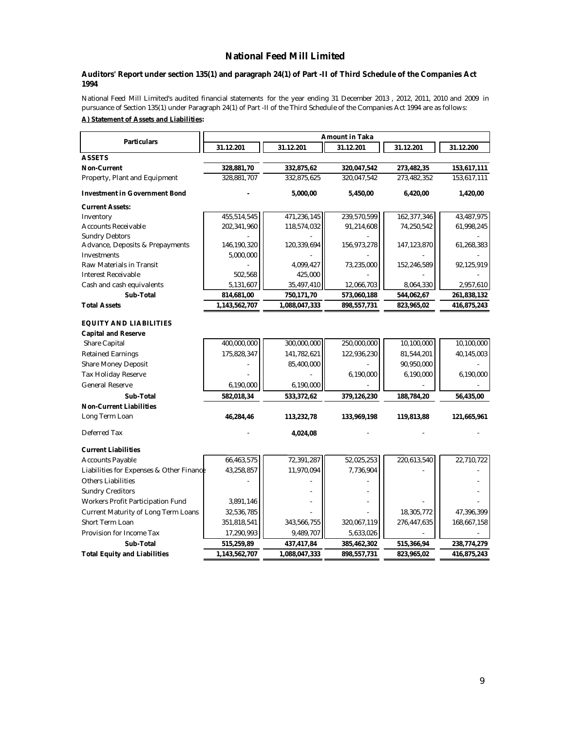## **National Feed Mill Limited**

#### **Auditors' Report under section 135(1) and paragraph 24(1) of Part -II of Third Schedule of the Companies Act 1994**

National Feed Mill Limited's audited financial statements for the year ending 31 December 2013 , 2012, 2011, 2010 and 2009 in pursuance of Section 135(1) under Paragraph 24(1) of Part -II of the Third Schedule of the Companies Act 1994 are as follows: **A) Statement of Assets and Liabilities:**

| <b>Particulars</b>                       |               |               |             |               |             |
|------------------------------------------|---------------|---------------|-------------|---------------|-------------|
|                                          | 31.12.201     | 31.12.201     | 31.12.201   | 31.12.201     | 31.12.200   |
| <b>ASSETS</b>                            |               |               |             |               |             |
| <b>Non-Current</b>                       | 328,881,70    | 332,875,62    | 320,047,542 | 273,482,35    | 153,617,111 |
| Property, Plant and Equipment            | 328,881,707   | 332,875,625   | 320,047,542 | 273,482,352   | 153,617,111 |
| <b>Investment in Government Bond</b>     |               | 5,000,00      | 5,450,00    | 6,420,00      | 1,420,00    |
| <b>Current Assets:</b>                   |               |               |             |               |             |
| Inventory                                | 455,514,545   | 471,236,145   | 239,570,599 | 162,377,346   | 43,487,975  |
| <b>Accounts Receivable</b>               | 202,341,960   | 118,574,032   | 91,214,608  | 74,250,542    | 61,998,245  |
| <b>Sundry Debtors</b>                    |               |               |             |               |             |
| Advance, Deposits & Prepayments          | 146,190,320   | 120,339,694   | 156,973,278 | 147, 123, 870 | 61,268,383  |
| Investments                              | 5,000,000     |               |             |               |             |
| Raw Materials in Transit                 |               | 4.099.427     | 73,235,000  | 152,246,589   | 92,125,919  |
| Interest Receivable                      | 502,568       | 425,000       |             |               |             |
| Cash and cash equivalents                | 5,131,607     | 35,497,410    | 12,066,703  | 8,064,330     | 2,957,610   |
| Sub-Total                                | 814,681,00    | 750,171,70    | 573,060,188 | 544,062,67    | 261,838,132 |
| <b>Total Assets</b>                      | 1,143,562,707 | 1,088,047,333 | 898,557,731 | 823,965,02    | 416,875,243 |
| <b>EQUITY AND LIABILITIES</b>            |               |               |             |               |             |
| <b>Capital and Reserve</b>               |               |               |             |               |             |
| Share Capital                            | 400,000,000   | 300,000,000   | 250,000,000 | 10,100,000    | 10,100,000  |
| <b>Retained Earnings</b>                 | 175,828,347   | 141,782,621   | 122,936,230 | 81,544,201    | 40,145,003  |
| <b>Share Money Deposit</b>               |               | 85,400,000    |             | 90,950,000    |             |
| Tax Holiday Reserve                      |               |               | 6,190,000   | 6,190,000     | 6,190,000   |
| General Reserve                          | 6,190,000     | 6,190,000     |             |               |             |
| Sub-Total                                | 582,018,34    | 533,372,62    | 379,126,230 | 188,784,20    | 56,435,00   |
| <b>Non-Current Liabilities</b>           |               |               |             |               |             |
| Long Term Loan                           | 46,284,46     | 113,232,78    | 133,969,198 | 119,813,88    | 121,665,961 |
| Deferred Tax                             |               | 4,024,08      |             |               |             |
| <b>Current Liabilities</b>               |               |               |             |               |             |
| <b>Accounts Payable</b>                  | 66,463,575    | 72,391,287    | 52,025,253  | 220,613,540   | 22,710,722  |
| Liabilities for Expenses & Other Finance | 43,258,857    | 11,970,094    | 7,736,904   |               |             |
| <b>Others Liabilities</b>                |               |               |             |               |             |
| <b>Sundry Creditors</b>                  |               |               |             |               |             |
| Workers Profit Participation Fund        | 3,891,146     |               |             |               |             |
| Current Maturity of Long Term Loans      | 32,536,785    |               |             | 18,305,772    | 47,396,399  |
| Short Term Loan                          | 351,818,541   | 343,566,755   | 320,067,119 | 276,447,635   | 168,667,158 |
| Provision for Income Tax                 | 17,290,993    | 9,489,707     | 5,633,026   |               |             |
| Sub-Total                                | 515,259,89    | 437,417,84    | 385,462,302 | 515,366,94    | 238,774,279 |
| <b>Total Equity and Liabilities</b>      | 1,143,562,707 | 1,088,047,333 | 898,557,731 | 823,965,02    | 416,875,243 |
|                                          |               |               |             |               |             |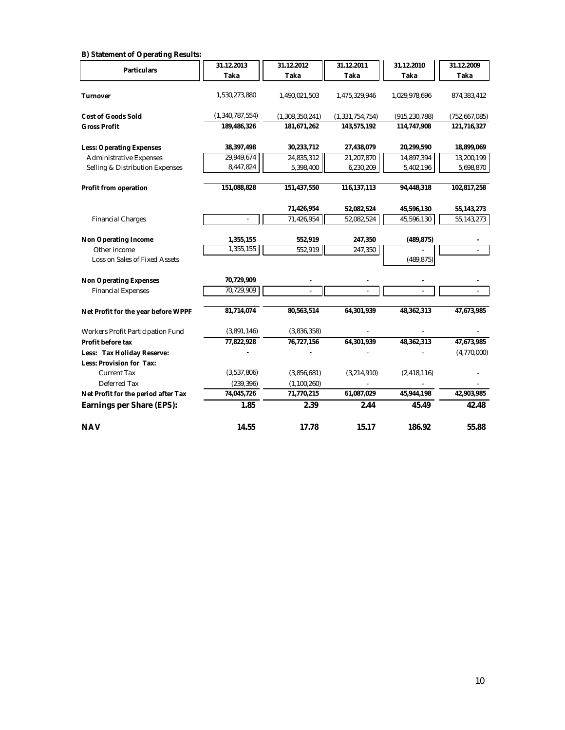| B) Statement of Operating Results:  |                 |                 |                    |                 |               |
|-------------------------------------|-----------------|-----------------|--------------------|-----------------|---------------|
| <b>Particulars</b>                  | 31.12.2013      | 31.12.2012      | 31.12.2011         | 31.12.2010      | 31.12.2009    |
|                                     | Taka            | Taka            | Taka               | Taka            | <b>Taka</b>   |
| <b>Turnover</b>                     | 1,530,273,880   | 1,490,021,503   | 1,475,329,946      | 1,029,978,696   | 874,383,412   |
|                                     |                 |                 |                    |                 |               |
| <b>Cost of Goods Sold</b>           | (1,340,787,554) | (1,308,350,241) | (1, 331, 754, 754) | (915, 230, 788) | (752,667,085) |
| <b>Gross Profit</b>                 | 189,486,326     | 181,671,262     | 143,575,192        | 114,747,908     | 121,716,327   |
| <b>Less: Operating Expenses</b>     | 38,397,498      | 30,233,712      | 27,438,079         | 20,299,590      | 18,899,069    |
| <b>Administrative Expenses</b>      | 29,949,674      | 24,835,312      | 21,207,870         | 14,897,394      | 13,200,199    |
| Selling & Distribution Expenses     | 8,447,824       | 5,398,400       | 6,230,209          | 5,402,196       | 5,698,870     |
|                                     |                 |                 |                    |                 |               |
| Profit from operation               | 151,088,828     | 151,437,550     | 116, 137, 113      | 94,448,318      | 102,817,258   |
|                                     |                 | 71,426,954      | 52,082,524         | 45,596,130      | 55, 143, 273  |
| <b>Financial Charges</b>            |                 | 71,426,954      | 52,082,524         | 45,596,130      | 55, 143, 273  |
| <b>Non Operating Income</b>         | 1,355,155       | 552,919         | 247,350            | (489, 875)      |               |
| Other income                        | 1,355,155       | 552,919         | 247,350            |                 |               |
| Loss on Sales of Fixed Assets       |                 |                 |                    | (489, 875)      |               |
|                                     |                 |                 |                    |                 |               |
| <b>Non Operating Expenses</b>       | 70,729,909      |                 |                    |                 |               |
| <b>Financial Expenses</b>           | 70,729,909      |                 |                    |                 |               |
| Net Profit for the year before WPPF | 81,714,074      | 80,563,514      | 64,301,939         | 48,362,313      | 47,673,985    |
| Workers Profit Participation Fund   | (3,891,146)     | (3,836,358)     |                    |                 |               |
| Profit before tax                   | 77,822,928      | 76,727,156      | 64,301,939         | 48,362,313      | 47,673,985    |
| Less: Tax Holiday Reserve:          |                 |                 |                    |                 | (4,770,000)   |
| Less: Provision for Tax:            |                 |                 |                    |                 |               |
| <b>Current Tax</b>                  | (3,537,806)     | (3,856,681)     | (3,214,910)        | (2, 418, 116)   |               |
| Deferred Tax                        | (239, 396)      | (1,100,260)     |                    |                 |               |
| Net Profit for the period after Tax | 74,045,726      | 71,770,215      | 61,087,029         | 45,944,198      | 42,903,985    |
| Earnings per Share (EPS):           | 1.85            | 2.39            | 2.44               | 45.49           | 42.48         |
| <b>NAV</b>                          | 14.55           | 17.78           | 15.17              | 186.92          | 55.88         |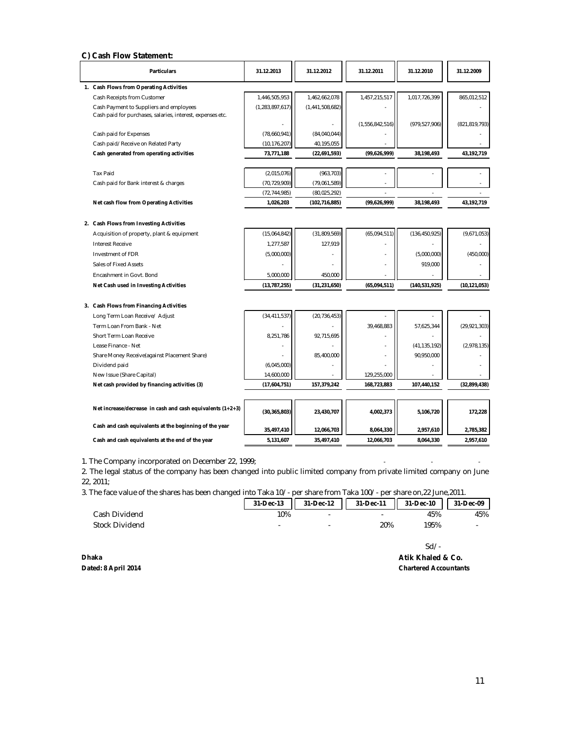#### **C) Cash Flow Statement:**

| 1. Cash Flows from Operating Activities<br>1,446,505,953<br>1,462,662,078<br>1,457,215,517<br>1,017,726,399<br>Cash Receipts from Customer<br>865,012,512<br>(1, 283, 897, 617)<br>(1,441,508,682)<br>Cash Payment to Suppliers and employees<br>Cash paid for purchases, salaries, interest, expenses etc.<br>(1, 556, 842, 516)<br>(979, 527, 906)<br>(821, 819, 793)<br>Cash paid for Expenses<br>(78.660.941)<br>(84,040,044)<br>40,195,055<br>Cash paid/Receive on Related Party<br>(10, 176, 207)<br>(99,626,999)<br>Cash generated from operating activities<br>73,771,188<br>(22,691,593)<br>38.198.493<br>43,192,719<br><b>Tax Paid</b><br>(2,015,076)<br>(963, 703)<br>(70, 729, 909)<br>Cash paid for Bank interest & charges<br>(79,061,589)<br>(72, 744, 985)<br>(80,025,292)<br>Net cash flow from Operating Activities<br>1,026,203<br>(102, 716, 885)<br>(99,626,999)<br>38.198.493<br>43.192.719<br>2. Cash Flows from Investing Activities<br>(15,064,842)<br>(31,809,569)<br>(65,094,511)<br>(136, 450, 925)<br>(9,671,053)<br>Acquisition of property, plant & equipment<br><b>Interest Receive</b><br>1,277,587<br>127,919<br>(5,000,000)<br>(5,000,000)<br>Investment of FDR<br>(450,000)<br>919,000<br>Sales of Fixed Assets<br>450,000<br>Encashment in Govt. Bond<br>5.000.000<br>Net Cash used in Investing Activities<br>(13, 787, 255)<br>(31, 231, 650)<br>(65,094,511)<br>(140, 531, 925)<br>(10, 121, 053)<br>3. Cash Flows from Financing Activities<br>(34, 411, 537)<br>(20, 736, 453)<br>Long Term Loan Receive/ Adjust<br>Term Loan From Bank - Net<br>39,468,883<br>57,625,344<br>(29, 921, 303)<br>8.251.786<br>92.715.695<br>Short Term Loan Receive<br>Lease Finance - Net<br>(41, 135, 192)<br>(2,978,135)<br>90,950,000<br>Share Money Receive(against Placement Share)<br>85,400,000<br>Dividend paid<br>(6,045,000)<br>New Issue (Share Capital)<br>14,600,000<br>129,255,000<br>Net cash provided by financing activities (3)<br>(17,604,751)<br>157,379,242<br>168,723,883<br>107,440,152<br>(32,899,438)<br>Net increase/decrease in cash and cash equivalents (1+2+3)<br>(30, 365, 803)<br>23,430,707<br>4,002,373<br>5,106,720<br>172,228<br>Cash and cash equivalents at the beginning of the year<br>35,497,410<br>12,066,703<br>8,064,330<br>2,957,610<br>2,785,382<br>Cash and cash equivalents at the end of the year<br>5,131,607<br>35,497,410<br>12,066,703<br>8,064,330<br>2,957,610 |  | <b>Particulars</b> | 31.12.2013 | 31.12.2012 | 31.12.2011 | 31.12.2010 | 31.12.2009 |  |
|------------------------------------------------------------------------------------------------------------------------------------------------------------------------------------------------------------------------------------------------------------------------------------------------------------------------------------------------------------------------------------------------------------------------------------------------------------------------------------------------------------------------------------------------------------------------------------------------------------------------------------------------------------------------------------------------------------------------------------------------------------------------------------------------------------------------------------------------------------------------------------------------------------------------------------------------------------------------------------------------------------------------------------------------------------------------------------------------------------------------------------------------------------------------------------------------------------------------------------------------------------------------------------------------------------------------------------------------------------------------------------------------------------------------------------------------------------------------------------------------------------------------------------------------------------------------------------------------------------------------------------------------------------------------------------------------------------------------------------------------------------------------------------------------------------------------------------------------------------------------------------------------------------------------------------------------------------------------------------------------------------------------------------------------------------------------------------------------------------------------------------------------------------------------------------------------------------------------------------------------------------------------------------------------------------------------------------------------------------------------------------------------------------------------------------------------|--|--------------------|------------|------------|------------|------------|------------|--|
|                                                                                                                                                                                                                                                                                                                                                                                                                                                                                                                                                                                                                                                                                                                                                                                                                                                                                                                                                                                                                                                                                                                                                                                                                                                                                                                                                                                                                                                                                                                                                                                                                                                                                                                                                                                                                                                                                                                                                                                                                                                                                                                                                                                                                                                                                                                                                                                                                                                |  |                    |            |            |            |            |            |  |
|                                                                                                                                                                                                                                                                                                                                                                                                                                                                                                                                                                                                                                                                                                                                                                                                                                                                                                                                                                                                                                                                                                                                                                                                                                                                                                                                                                                                                                                                                                                                                                                                                                                                                                                                                                                                                                                                                                                                                                                                                                                                                                                                                                                                                                                                                                                                                                                                                                                |  |                    |            |            |            |            |            |  |
|                                                                                                                                                                                                                                                                                                                                                                                                                                                                                                                                                                                                                                                                                                                                                                                                                                                                                                                                                                                                                                                                                                                                                                                                                                                                                                                                                                                                                                                                                                                                                                                                                                                                                                                                                                                                                                                                                                                                                                                                                                                                                                                                                                                                                                                                                                                                                                                                                                                |  |                    |            |            |            |            |            |  |
|                                                                                                                                                                                                                                                                                                                                                                                                                                                                                                                                                                                                                                                                                                                                                                                                                                                                                                                                                                                                                                                                                                                                                                                                                                                                                                                                                                                                                                                                                                                                                                                                                                                                                                                                                                                                                                                                                                                                                                                                                                                                                                                                                                                                                                                                                                                                                                                                                                                |  |                    |            |            |            |            |            |  |
|                                                                                                                                                                                                                                                                                                                                                                                                                                                                                                                                                                                                                                                                                                                                                                                                                                                                                                                                                                                                                                                                                                                                                                                                                                                                                                                                                                                                                                                                                                                                                                                                                                                                                                                                                                                                                                                                                                                                                                                                                                                                                                                                                                                                                                                                                                                                                                                                                                                |  |                    |            |            |            |            |            |  |
|                                                                                                                                                                                                                                                                                                                                                                                                                                                                                                                                                                                                                                                                                                                                                                                                                                                                                                                                                                                                                                                                                                                                                                                                                                                                                                                                                                                                                                                                                                                                                                                                                                                                                                                                                                                                                                                                                                                                                                                                                                                                                                                                                                                                                                                                                                                                                                                                                                                |  |                    |            |            |            |            |            |  |
|                                                                                                                                                                                                                                                                                                                                                                                                                                                                                                                                                                                                                                                                                                                                                                                                                                                                                                                                                                                                                                                                                                                                                                                                                                                                                                                                                                                                                                                                                                                                                                                                                                                                                                                                                                                                                                                                                                                                                                                                                                                                                                                                                                                                                                                                                                                                                                                                                                                |  |                    |            |            |            |            |            |  |
|                                                                                                                                                                                                                                                                                                                                                                                                                                                                                                                                                                                                                                                                                                                                                                                                                                                                                                                                                                                                                                                                                                                                                                                                                                                                                                                                                                                                                                                                                                                                                                                                                                                                                                                                                                                                                                                                                                                                                                                                                                                                                                                                                                                                                                                                                                                                                                                                                                                |  |                    |            |            |            |            |            |  |
|                                                                                                                                                                                                                                                                                                                                                                                                                                                                                                                                                                                                                                                                                                                                                                                                                                                                                                                                                                                                                                                                                                                                                                                                                                                                                                                                                                                                                                                                                                                                                                                                                                                                                                                                                                                                                                                                                                                                                                                                                                                                                                                                                                                                                                                                                                                                                                                                                                                |  |                    |            |            |            |            |            |  |
|                                                                                                                                                                                                                                                                                                                                                                                                                                                                                                                                                                                                                                                                                                                                                                                                                                                                                                                                                                                                                                                                                                                                                                                                                                                                                                                                                                                                                                                                                                                                                                                                                                                                                                                                                                                                                                                                                                                                                                                                                                                                                                                                                                                                                                                                                                                                                                                                                                                |  |                    |            |            |            |            |            |  |
|                                                                                                                                                                                                                                                                                                                                                                                                                                                                                                                                                                                                                                                                                                                                                                                                                                                                                                                                                                                                                                                                                                                                                                                                                                                                                                                                                                                                                                                                                                                                                                                                                                                                                                                                                                                                                                                                                                                                                                                                                                                                                                                                                                                                                                                                                                                                                                                                                                                |  |                    |            |            |            |            |            |  |
|                                                                                                                                                                                                                                                                                                                                                                                                                                                                                                                                                                                                                                                                                                                                                                                                                                                                                                                                                                                                                                                                                                                                                                                                                                                                                                                                                                                                                                                                                                                                                                                                                                                                                                                                                                                                                                                                                                                                                                                                                                                                                                                                                                                                                                                                                                                                                                                                                                                |  |                    |            |            |            |            |            |  |
|                                                                                                                                                                                                                                                                                                                                                                                                                                                                                                                                                                                                                                                                                                                                                                                                                                                                                                                                                                                                                                                                                                                                                                                                                                                                                                                                                                                                                                                                                                                                                                                                                                                                                                                                                                                                                                                                                                                                                                                                                                                                                                                                                                                                                                                                                                                                                                                                                                                |  |                    |            |            |            |            |            |  |
|                                                                                                                                                                                                                                                                                                                                                                                                                                                                                                                                                                                                                                                                                                                                                                                                                                                                                                                                                                                                                                                                                                                                                                                                                                                                                                                                                                                                                                                                                                                                                                                                                                                                                                                                                                                                                                                                                                                                                                                                                                                                                                                                                                                                                                                                                                                                                                                                                                                |  |                    |            |            |            |            |            |  |
|                                                                                                                                                                                                                                                                                                                                                                                                                                                                                                                                                                                                                                                                                                                                                                                                                                                                                                                                                                                                                                                                                                                                                                                                                                                                                                                                                                                                                                                                                                                                                                                                                                                                                                                                                                                                                                                                                                                                                                                                                                                                                                                                                                                                                                                                                                                                                                                                                                                |  |                    |            |            |            |            |            |  |
|                                                                                                                                                                                                                                                                                                                                                                                                                                                                                                                                                                                                                                                                                                                                                                                                                                                                                                                                                                                                                                                                                                                                                                                                                                                                                                                                                                                                                                                                                                                                                                                                                                                                                                                                                                                                                                                                                                                                                                                                                                                                                                                                                                                                                                                                                                                                                                                                                                                |  |                    |            |            |            |            |            |  |
|                                                                                                                                                                                                                                                                                                                                                                                                                                                                                                                                                                                                                                                                                                                                                                                                                                                                                                                                                                                                                                                                                                                                                                                                                                                                                                                                                                                                                                                                                                                                                                                                                                                                                                                                                                                                                                                                                                                                                                                                                                                                                                                                                                                                                                                                                                                                                                                                                                                |  |                    |            |            |            |            |            |  |
|                                                                                                                                                                                                                                                                                                                                                                                                                                                                                                                                                                                                                                                                                                                                                                                                                                                                                                                                                                                                                                                                                                                                                                                                                                                                                                                                                                                                                                                                                                                                                                                                                                                                                                                                                                                                                                                                                                                                                                                                                                                                                                                                                                                                                                                                                                                                                                                                                                                |  |                    |            |            |            |            |            |  |
|                                                                                                                                                                                                                                                                                                                                                                                                                                                                                                                                                                                                                                                                                                                                                                                                                                                                                                                                                                                                                                                                                                                                                                                                                                                                                                                                                                                                                                                                                                                                                                                                                                                                                                                                                                                                                                                                                                                                                                                                                                                                                                                                                                                                                                                                                                                                                                                                                                                |  |                    |            |            |            |            |            |  |
|                                                                                                                                                                                                                                                                                                                                                                                                                                                                                                                                                                                                                                                                                                                                                                                                                                                                                                                                                                                                                                                                                                                                                                                                                                                                                                                                                                                                                                                                                                                                                                                                                                                                                                                                                                                                                                                                                                                                                                                                                                                                                                                                                                                                                                                                                                                                                                                                                                                |  |                    |            |            |            |            |            |  |
|                                                                                                                                                                                                                                                                                                                                                                                                                                                                                                                                                                                                                                                                                                                                                                                                                                                                                                                                                                                                                                                                                                                                                                                                                                                                                                                                                                                                                                                                                                                                                                                                                                                                                                                                                                                                                                                                                                                                                                                                                                                                                                                                                                                                                                                                                                                                                                                                                                                |  |                    |            |            |            |            |            |  |
|                                                                                                                                                                                                                                                                                                                                                                                                                                                                                                                                                                                                                                                                                                                                                                                                                                                                                                                                                                                                                                                                                                                                                                                                                                                                                                                                                                                                                                                                                                                                                                                                                                                                                                                                                                                                                                                                                                                                                                                                                                                                                                                                                                                                                                                                                                                                                                                                                                                |  |                    |            |            |            |            |            |  |
|                                                                                                                                                                                                                                                                                                                                                                                                                                                                                                                                                                                                                                                                                                                                                                                                                                                                                                                                                                                                                                                                                                                                                                                                                                                                                                                                                                                                                                                                                                                                                                                                                                                                                                                                                                                                                                                                                                                                                                                                                                                                                                                                                                                                                                                                                                                                                                                                                                                |  |                    |            |            |            |            |            |  |
|                                                                                                                                                                                                                                                                                                                                                                                                                                                                                                                                                                                                                                                                                                                                                                                                                                                                                                                                                                                                                                                                                                                                                                                                                                                                                                                                                                                                                                                                                                                                                                                                                                                                                                                                                                                                                                                                                                                                                                                                                                                                                                                                                                                                                                                                                                                                                                                                                                                |  |                    |            |            |            |            |            |  |
|                                                                                                                                                                                                                                                                                                                                                                                                                                                                                                                                                                                                                                                                                                                                                                                                                                                                                                                                                                                                                                                                                                                                                                                                                                                                                                                                                                                                                                                                                                                                                                                                                                                                                                                                                                                                                                                                                                                                                                                                                                                                                                                                                                                                                                                                                                                                                                                                                                                |  |                    |            |            |            |            |            |  |
|                                                                                                                                                                                                                                                                                                                                                                                                                                                                                                                                                                                                                                                                                                                                                                                                                                                                                                                                                                                                                                                                                                                                                                                                                                                                                                                                                                                                                                                                                                                                                                                                                                                                                                                                                                                                                                                                                                                                                                                                                                                                                                                                                                                                                                                                                                                                                                                                                                                |  |                    |            |            |            |            |            |  |
|                                                                                                                                                                                                                                                                                                                                                                                                                                                                                                                                                                                                                                                                                                                                                                                                                                                                                                                                                                                                                                                                                                                                                                                                                                                                                                                                                                                                                                                                                                                                                                                                                                                                                                                                                                                                                                                                                                                                                                                                                                                                                                                                                                                                                                                                                                                                                                                                                                                |  |                    |            |            |            |            |            |  |
|                                                                                                                                                                                                                                                                                                                                                                                                                                                                                                                                                                                                                                                                                                                                                                                                                                                                                                                                                                                                                                                                                                                                                                                                                                                                                                                                                                                                                                                                                                                                                                                                                                                                                                                                                                                                                                                                                                                                                                                                                                                                                                                                                                                                                                                                                                                                                                                                                                                |  |                    |            |            |            |            |            |  |
|                                                                                                                                                                                                                                                                                                                                                                                                                                                                                                                                                                                                                                                                                                                                                                                                                                                                                                                                                                                                                                                                                                                                                                                                                                                                                                                                                                                                                                                                                                                                                                                                                                                                                                                                                                                                                                                                                                                                                                                                                                                                                                                                                                                                                                                                                                                                                                                                                                                |  |                    |            |            |            |            |            |  |
|                                                                                                                                                                                                                                                                                                                                                                                                                                                                                                                                                                                                                                                                                                                                                                                                                                                                                                                                                                                                                                                                                                                                                                                                                                                                                                                                                                                                                                                                                                                                                                                                                                                                                                                                                                                                                                                                                                                                                                                                                                                                                                                                                                                                                                                                                                                                                                                                                                                |  |                    |            |            |            |            |            |  |
|                                                                                                                                                                                                                                                                                                                                                                                                                                                                                                                                                                                                                                                                                                                                                                                                                                                                                                                                                                                                                                                                                                                                                                                                                                                                                                                                                                                                                                                                                                                                                                                                                                                                                                                                                                                                                                                                                                                                                                                                                                                                                                                                                                                                                                                                                                                                                                                                                                                |  |                    |            |            |            |            |            |  |
|                                                                                                                                                                                                                                                                                                                                                                                                                                                                                                                                                                                                                                                                                                                                                                                                                                                                                                                                                                                                                                                                                                                                                                                                                                                                                                                                                                                                                                                                                                                                                                                                                                                                                                                                                                                                                                                                                                                                                                                                                                                                                                                                                                                                                                                                                                                                                                                                                                                |  |                    |            |            |            |            |            |  |
|                                                                                                                                                                                                                                                                                                                                                                                                                                                                                                                                                                                                                                                                                                                                                                                                                                                                                                                                                                                                                                                                                                                                                                                                                                                                                                                                                                                                                                                                                                                                                                                                                                                                                                                                                                                                                                                                                                                                                                                                                                                                                                                                                                                                                                                                                                                                                                                                                                                |  |                    |            |            |            |            |            |  |

1. The Company incorporated on December 22, 1999;

2. The legal status of the company has been changed into public limited company from private limited company on June 22, 2011;

3. The face value of the shares has been changed into Taka 10/- per share from Taka 100/- per share on,22 June,2011.

| .              |                          |           |                |           |           |
|----------------|--------------------------|-----------|----------------|-----------|-----------|
|                | 31-Dec-13                | 31-Dec-12 | 31-Dec-11<br>H | 31-Dec-10 | 31-Dec-09 |
| Cash Dividend  | 10%                      | -         | -              | 45%       | 45%       |
| Stock Dividend | $\overline{\phantom{0}}$ | -         | 20%            | 195%      | -         |
|                |                          |           |                |           |           |

Sd/- **Dhaka Atik Khaled & Co. Chartered Accountants**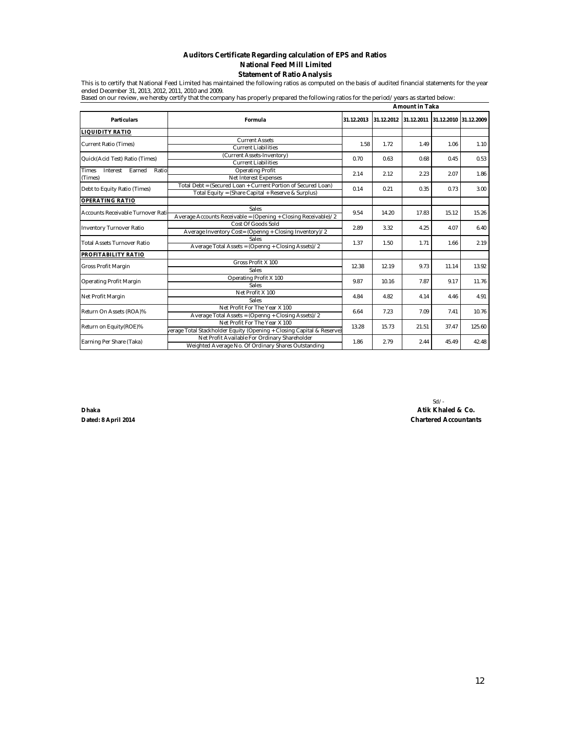#### **Auditors Certificate Regarding calculation of EPS and Ratios Statement of Ratio Analysis National Feed Mill Limited**

This is to certify that National Feed Limited has maintained the following ratios as computed on the basis of audited financial statements for the year ended December 31, 2013, 2012, 2011, 2010 and 2009. Based on our review, we hereby certify that the company has properly prepared the following ratios for the period/years as started below:

|                                                        |                                                                                                                     | <b>Amount in Taka</b>   |              |                                  |        |       |  |
|--------------------------------------------------------|---------------------------------------------------------------------------------------------------------------------|-------------------------|--------------|----------------------------------|--------|-------|--|
| <b>Particulars</b>                                     | Formula                                                                                                             | 31.12.2013              | 31.12.2012   | 31.12.2011 31.12.2010 31.12.2009 |        |       |  |
| <b>IQUIDITY RATIO</b>                                  |                                                                                                                     |                         |              |                                  |        |       |  |
| Current Ratio (Times)                                  | <b>Current Assets</b><br>Current Liabilities                                                                        | 1.58                    | 1.72         | 1.49                             | 1.06   | 1.10  |  |
| Quick(Acid Test) Ratio (Times)                         | (Current Assets-Inventory)<br><b>Current Liabilities</b>                                                            | 0.63<br>0.68<br>0.70    |              | 0.45                             | 0.53   |       |  |
| <b>Times</b><br>Interest<br>Earned<br>Ratio<br>(Times) | <b>Operating Profit</b><br>Net Interest Expenses                                                                    | 2.14                    | 2.12         | 2.23                             | 2.07   | 1.86  |  |
| Debt to Equity Ratio (Times)                           | Total Debt = (Secured Loan + Current Portion of Secured Loan)<br>Total Equity = (Share Capital + Reserve & Surplus) | 0.14                    | 0.21         | 0.35                             | 0.73   | 3.00  |  |
| <b>OPERATING RATIO</b>                                 |                                                                                                                     |                         |              |                                  |        |       |  |
| Accounts Receivable Turnover Rati                      | Sales<br>Average Accounts Receivable = (Opening + Closing Receivable)/2                                             | 9.54                    | 14.20        | 17.83                            | 15.12  | 15.26 |  |
| <b>Inventory Turnover Ratio</b>                        | Cost Of Goods Sold<br>Average Inventory Cost= (Openng + Closing Inventory)/2                                        | 2.89                    | 3.32<br>4.25 |                                  | 4.07   | 6.40  |  |
| <b>Total Assets Turnover Ratio</b>                     | Sales<br>Average Total Assets = (Openng + Closing Assets)/2                                                         | 1.37                    | 1.50         | 1.71                             | 1.66   | 2.19  |  |
| PROFITABILITY RATIO                                    |                                                                                                                     |                         |              |                                  |        |       |  |
| Gross Profit Margin                                    | Gross Profit X 100<br>Sales                                                                                         | 12.38                   | 12.19        | 9.73                             | 11.14  | 13.92 |  |
| Operating Profit Margin                                | Operating Profit X 100<br>Sales                                                                                     | 9.87                    | 10.16        | 7.87                             | 9.17   | 11.76 |  |
| Net Profit Margin                                      | Net Profit X 100<br>Sales                                                                                           | 4.84                    | 4.82         | 4.14                             | 4.46   | 4.91  |  |
| Return On Assets (ROA)%                                | Net Profit For The Year X 100<br>Average Total Assets = (Openng + Closing Assets)/2                                 | 6.64                    | 7.23<br>7.09 |                                  | 7.41   | 10.76 |  |
| Return on Equity(ROE)%                                 | Net Profit For The Year X 100<br>/erage Total Stackholder Equity (Opening + Closing Capital & Reserve)              | 13.28<br>15.73<br>21.51 |              | 37.47                            | 125.60 |       |  |
| Earning Per Share (Taka)                               | Net Profit Available For Ordinary Shareholder<br>Weighted Average No. Of Ordinary Shares Outstanding                | 1.86                    | 2.79         | 2.44                             | 45.49  | 42.48 |  |

**Dhaka Dated: 8 April 2014**

Sd/- **Chartered Accountants Atik Khaled & Co.**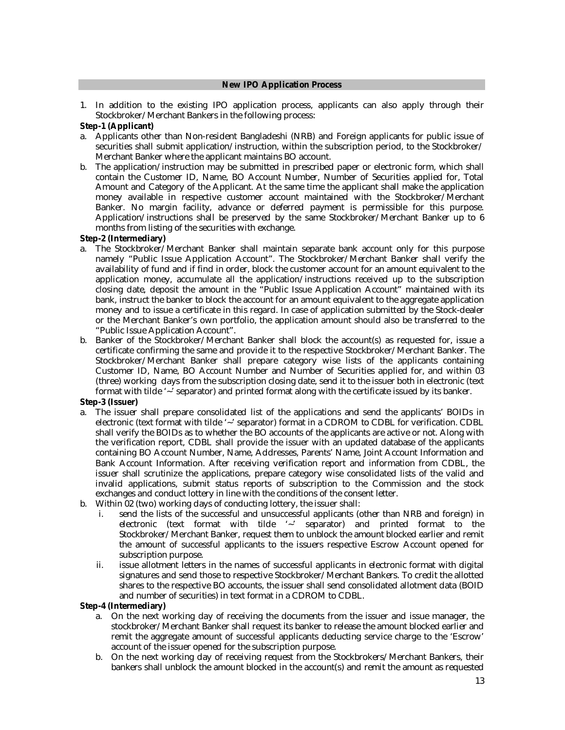#### **New IPO Application Process**

1. In addition to the existing IPO application process, applicants can also apply through their Stockbroker/Merchant Bankers in the following process:

#### **Step-1 (Applicant)**

- a. Applicants other than Non-resident Bangladeshi (NRB) and Foreign applicants for public issue of securities shall submit application/instruction, within the subscription period, to the Stockbroker/ Merchant Banker where the applicant maintains BO account.
- b. The application/instruction may be submitted in prescribed paper or electronic form, which shall contain the Customer ID, Name, BO Account Number, Number of Securities applied for, Total Amount and Category of the Applicant. At the same time the applicant shall make the application money available in respective customer account maintained with the Stockbroker/Merchant Banker. No margin facility, advance or deferred payment is permissible for this purpose. Application/instructions shall be preserved by the same Stockbroker/Merchant Banker up to 6 months from listing of the securities with exchange.

#### **Step-2 (Intermediary)**

- a. The Stockbroker/Merchant Banker shall maintain separate bank account only for this purpose namely "Public Issue Application Account". The Stockbroker/Merchant Banker shall verify the availability of fund and if find in order, block the customer account for an amount equivalent to the application money, accumulate all the application/instructions received up to the subscription closing date, deposit the amount in the "Public Issue Application Account" maintained with its bank, instruct the banker to block the account for an amount equivalent to the aggregate application money and to issue a certificate in this regard. In case of application submitted by the Stock-dealer or the Merchant Banker's own portfolio, the application amount should also be transferred to the "Public Issue Application Account".
- b. Banker of the Stockbroker/Merchant Banker shall block the account(s) as requested for, issue a certificate confirming the same and provide it to the respective Stockbroker/Merchant Banker. The Stockbroker/Merchant Banker shall prepare category wise lists of the applicants containing Customer ID, Name, BO Account Number and Number of Securities applied for, and within 03 (three) working days from the subscription closing date, send it to the issuer both in electronic (text format with tilde '~' separator) and printed format along with the certificate issued by its banker.

## **Step-3 (Issuer)**

- a. The issuer shall prepare consolidated list of the applications and send the applicants' BOIDs in electronic (text format with tilde '~' separator) format in a CDROM to CDBL for verification. CDBL shall verify the BOIDs as to whether the BO accounts of the applicants are active or not. Along with the verification report, CDBL shall provide the issuer with an updated database of the applicants containing BO Account Number, Name, Addresses, Parents' Name, Joint Account Information and Bank Account Information. After receiving verification report and information from CDBL, the issuer shall scrutinize the applications, prepare category wise consolidated lists of the valid and invalid applications, submit status reports of subscription to the Commission and the stock exchanges and conduct lottery in line with the conditions of the consent letter.
- b. Within 02 (two) working days of conducting lottery, the issuer shall:
	- i. send the lists of the successful and unsuccessful applicants (other than NRB and foreign) in electronic (text format with tilde '~' separator) and printed format to the Stockbroker/Merchant Banker, request them to unblock the amount blocked earlier and remit the amount of successful applicants to the issuers respective Escrow Account opened for subscription purpose.
	- ii. issue allotment letters in the names of successful applicants in electronic format with digital signatures and send those to respective Stockbroker/Merchant Bankers. To credit the allotted shares to the respective BO accounts, the issuer shall send consolidated allotment data (BOID and number of securities) in text format in a CDROM to CDBL.

#### **Step-4 (Intermediary)**

- a. On the next working day of receiving the documents from the issuer and issue manager, the stockbroker/Merchant Banker shall request its banker to release the amount blocked earlier and remit the aggregate amount of successful applicants deducting service charge to the 'Escrow' account of the issuer opened for the subscription purpose.
- b. On the next working day of receiving request from the Stockbrokers/Merchant Bankers, their bankers shall unblock the amount blocked in the account(s) and remit the amount as requested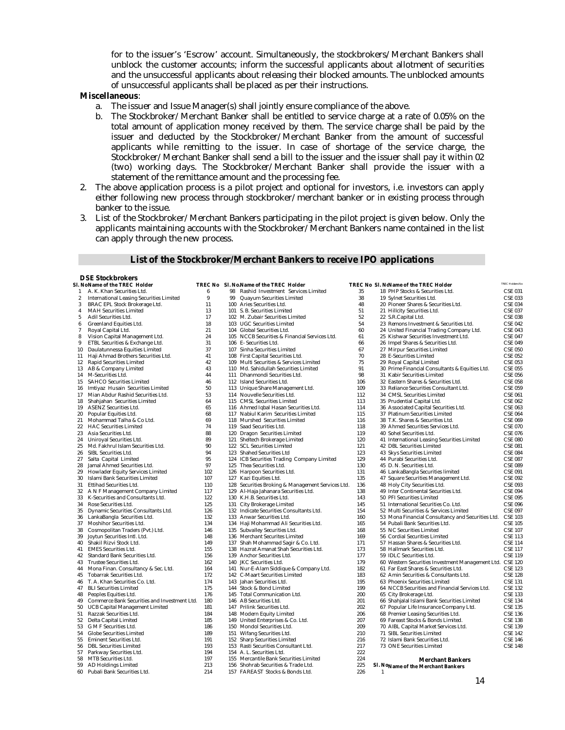for to the issuer's 'Escrow' account. Simultaneously, the stockbrokers/Merchant Bankers shall unblock the customer accounts; inform the successful applicants about allotment of securities and the unsuccessful applicants about releasing their blocked amounts. The unblocked amounts of unsuccessful applicants shall be placed as per their instructions.

#### **Miscellaneous**:

- a. The issuer and Issue Manager(s) shall jointly ensure compliance of the above.
- b. The Stockbroker/Merchant Banker shall be entitled to service charge at a rate of 0.05% on the total amount of application money received by them. The service charge shall be paid by the issuer and deducted by the Stockbroker/Merchant Banker from the amount of successful applicants while remitting to the issuer. In case of shortage of the service charge, the Stockbroker/Merchant Banker shall send a bill to the issuer and the issuer shall pay it within 02 (two) working days. The Stockbroker/Merchant Banker shall provide the issuer with a statement of the remittance amount and the processing fee.
- 2. The above application process is a pilot project and optional for investors, i.e. investors can apply either following new process through stockbroker/merchant banker or in existing process through banker to the issue.
- 3. List of the Stockbroker/Merchant Bankers participating in the pilot project is given below. Only the applicants maintaining accounts with the Stockbroker/Merchant Bankers name contained in the list can apply through the new process.

#### **List of the Stockbroker/Merchant Bankers to receive IPO applications**

#### **DSE Stockbrokers**

|                | SI. NoName of the TREC  Holder               |     |     | TREC No. SI. No.Name of the TREC Holder       |     | TREC No. SI. NৌName of the TREC Holder                   | <b>TREC Holders No</b> |
|----------------|----------------------------------------------|-----|-----|-----------------------------------------------|-----|----------------------------------------------------------|------------------------|
| -1             | A. K. Khan Securities Ltd.                   | 6   |     | 98 Rashid Investment Services Limited         | 35  | 18 PHP Stocks & Securities Ltd.                          | CSE 031                |
| $\overline{a}$ | International Leasing Securities Limited     | 9   | 99  | Quayum Securities Limited                     | 38  | 19 Sylnet Securities Ltd.                                | CSE 033                |
| 3              | BRAC EPL Stock Brokerage Ltd.                | 11  | 100 | Aries Securities Ltd.                         | 48  | 20 Pioneer Shares & Securities Ltd.                      | CSE 034                |
| 4              | MAH Securities Limited                       | 13  |     | 101 S. B. Securities Limited                  | 51  | 21 Hillcity Securities Ltd.                              | CSE 037                |
| 5              | Adil Securities Ltd.                         | 17  |     | 102 M. Zubair Securities Limited              | 52  | 22 S.R.Capital Ltd.                                      | <b>CSE 038</b>         |
| 6              | Greenland Equities Ltd.                      | 18  |     | 103 UGC Securities Limited                    | 54  | 23 Remons Investment & Securities Ltd.                   | <b>CSE 042</b>         |
| $\overline{7}$ | Royal Capital Ltd.                           | 21  |     | 104 Global Securities Ltd.                    | 60  | 24 United Financial Trading Company Ltd.                 | <b>CSE 043</b>         |
| 8              | Vision Capital Management Ltd.               | 24  |     | 105 NCCB Securities & Financial Services Ltd. | 61  | 25 Kishwar Securities Investment Ltd.                    | <b>CSE 047</b>         |
| 9              | ETBL Securities & Exchange Ltd.              | 31  |     | 106 E- Securities Ltd.                        | 66  | 26 Impel Shares & Securities Ltd.                        | <b>CSE 049</b>         |
|                |                                              | 37  |     |                                               | 67  |                                                          |                        |
| 10             | Daulatunnessa Equities Limited               |     |     | 107 Sinha Securities Limited                  |     | 27 Mirpur Securities Limited                             | <b>CSE 050</b>         |
| 11             | Haji Ahmad Brothers Securities Ltd.          | 41  | 108 | First Capital Securities Ltd.                 | 70  | 28 E-Securities Limited                                  | <b>CSE 052</b>         |
| 12             | Rapid Securities Limited                     | 42  | 109 | Multi Securities & Services Limited           | 75  | 29 Royal Capital Limited                                 | <b>CSE 053</b>         |
| 13             | AB & Company Limited                         | 43  | 110 | Md. Sahidullah Securities Limited             | 91  | 30 Prime Financial Consultants & Equities Ltd.           | <b>CSE 055</b>         |
| 14             | M-Securities Ltd.                            | 44  |     | 111 Dhanmondi Securities Ltd.                 | 98  | 31 Kabir Securities Limited                              | <b>CSE 056</b>         |
| 15             | <b>SAHCO Securities Limited</b>              | 46  |     | 112 Island Securities Ltd.                    | 106 | 32 Eastern Shares & Securities Ltd.                      | <b>CSE 058</b>         |
| 16             | Imtiyaz Husain Securities Limited            | 50  |     | 113 Unique Share Management Ltd.              | 109 | 33 Reliance Securities Consultant Ltd.                   | <b>CSE 059</b>         |
|                | 17 Mian Abdur Rashid Securities Ltd.         | 53  |     | 114 Nouvelle Securities Ltd.                  | 112 | 34 CMSL Securities Limited                               | <b>CSE 061</b>         |
| 18             | Shahjahan Securities Limited                 | 64  |     | 115 CMSL Securities Limited                   | 113 | 35 Prudential Capital Ltd.                               | <b>CSE 062</b>         |
| 19             | <b>ASENZ Securities Ltd.</b>                 | 65  |     | 116 Ahmed Iqbal Hasan Securities Ltd.         | 114 | 36 Associated Capital Securities Ltd.                    | CSE 063                |
| 20             | Popular Equities Ltd.                        | 68  | 117 | Nabiul Karim Securities Limited               | 115 | 37 Platinum Securities Limited                           | <b>CSE 064</b>         |
| 21             | Mohammad Talha & Co Ltd.                     | 69  | 118 | Murshed Securities Limited                    | 116 | 38 T.K. Shares & Securities Ltd.                         | <b>CSE 069</b>         |
| 22             | <b>HAC Securities Limited</b>                | 74  | 119 | Saad Securities Ltd.                          | 118 | 39 Ahmed Securities Services Ltd.                        | <b>CSE 070</b>         |
| 23             | Asia Securities Ltd.                         | 88  | 120 | Dragon Securities Limited                     | 119 | 40 Sohel Securities Ltd.                                 | <b>CSE 076</b>         |
| 24             | Uniroyal Securities Ltd.                     | 89  | 121 | Sheltech Brokerage Limited                    | 120 | 41 International Leasing Securities Limited              | <b>CSE 080</b>         |
| 25             | Md. Fakhrul Islam Securities Ltd.            | 90  |     | 122 SCL Securities Limited                    | 121 | 42 DBL Securities Limited                                | <b>CSE 081</b>         |
| 26             | SIBL Securities Ltd.                         | 94  |     | 123 Shahed Securities Ltd                     | 123 | 43 Skys Securities Limited                               | <b>CSE 084</b>         |
| 27             | Salta Capital Limited                        | 95  |     | 124 ICB Securities Trading Company Limited    | 129 | 44 Purabi Securities Ltd.                                | <b>CSE 087</b>         |
| 28             | Jamal Ahmed Securities Ltd.                  | 97  |     | 125 Thea Securities Ltd.                      | 130 | 45 D. N. Securities Ltd.                                 | CSE 089                |
| 29             | Howlader Equity Services Limited             | 102 | 126 | Harpoon Securities Ltd.                       | 131 | 46 LankaBangla Securities limited                        | <b>CSE 091</b>         |
| 30             | Islami Bank Securities Limited               | 107 |     | 127 Kazi Equities Ltd.                        | 135 | 47 Square Securities Management Ltd.                     | <b>CSE 092</b>         |
| 31             | Ettihad Securities Ltd.                      | 110 | 128 |                                               | 136 |                                                          | <b>CSE 093</b>         |
|                |                                              | 117 |     | Securities Broking & Management Services Ltd. | 138 | 48 Holy City Securities Ltd.                             |                        |
| 32             | A N F Management Company Limited             |     | 129 | Al-Haja Jahanara Securities Ltd.              |     | 49 Inter Continental Securities Ltd.                     | CSE 094                |
| 33             | K-Securities and Consultants Ltd.            | 122 | 130 | K.H.B. Securities Ltd.                        | 143 | 50 PFI Securities Limited                                | <b>CSE 095</b>         |
| 34             | Rose Securities Ltd.                         | 125 | 131 | City Brokerage Limited                        | 145 | 51 International Securities Co. Ltd.                     | <b>CSE 096</b>         |
| 35             | Dynamic Securities Consultants Ltd.          | 126 |     | 132 Indicate Securities Consultants Ltd.      | 154 | 52 Multi Securities & Services Limited                   | <b>CSE 097</b>         |
| 36             | LankaBangla Securities Ltd.                  | 132 |     | 133 Anwar Securities Ltd.                     | 160 | 53 Mona Financial Consultancy and Securities Ltd.        | <b>CSE 103</b>         |
| 37             | Moshihor Securities Ltd.                     | 134 |     | 134 Haji Mohammad Ali Securities Ltd.         | 165 | 54 Pubali Bank Securities Ltd.                           | <b>CSE 105</b>         |
| 38             | Cosmopolitan Traders (Pvt.) Ltd.             | 146 | 135 | Subvalley Securities Ltd.                     | 168 | 55 NC Securities Limited                                 | <b>CSE 107</b>         |
| 39             | Joytun Securities Intl. Ltd.                 | 148 |     | 136 Merchant Securites Limited                | 169 | 56 Cordial Securities Limited                            | <b>CSE 113</b>         |
| 40             | Shakil Rizvi Stock Ltd.                      | 149 | 137 | Shah Mohammad Sagir & Co. Ltd.                | 171 | 57 Hassan Shares & Securities Ltd.                       | <b>CSE 114</b>         |
| 41             | <b>EMES Securities Ltd.</b>                  | 155 |     | 138 Hazrat Amanat Shah Securities Ltd.        | 173 | 58 Hallmark Securities Ltd.                              | <b>CSE 117</b>         |
| 42             | Standard Bank Securities Ltd.                | 156 | 139 | Anchor Securities Ltd.                        | 177 | 59 IDLC Securities Ltd.                                  | <b>CSE 119</b>         |
| 43             | Trustee Securities Ltd.                      | 162 |     | 140 JKC Securities Ltd.                       | 179 | 60 Western Securities Investment Management Ltd. CSE 120 |                        |
| 44             | Mona Finan. Consultancy & Sec. Ltd.          | 164 |     | 141 Nur-E-Alam Siddique & Company Ltd.        | 182 | 61 Far East Shares & Securities Ltd.                     | <b>CSE 123</b>         |
| 45             | Tobarrak Securities Ltd.                     | 172 |     | 142 C-Maart Securities Limited                | 183 | 62 Amin Securities & Consultants Ltd.                    | <b>CSE 128</b>         |
| 46             | T. A. Khan Securities Co. Ltd.               | 174 | 143 | Jahan Securities Ltd.                         | 195 | 63 Phoenix Securities Limited                            | <b>CSE 131</b>         |
| 47             | <b>BLI Securities Limited</b>                | 175 |     | 144 Stock & Bond Limited                      | 199 | 64 NCCB Securities and Financial Services Ltd.           | <b>CSE 132</b>         |
| 48             | Peoples Equities Ltd.                        | 176 | 145 | Total Communication Ltd.                      | 200 | 65 City Brokerage Ltd.                                   | <b>CSE 133</b>         |
| 49             | Commerce Bank Securities and Investment Ltd. | 180 |     | 146 AB Securities Ltd.                        | 201 | 66 Shahjalal Islami Bank Securities Limited              | <b>CSE 134</b>         |
| 50             | <b>UCB Capital Management Limited</b>        | 181 |     | 147 Prilink Securities Ltd.                   | 202 | 67 Popular Life Insurance Company Ltd.                   | <b>CSE 135</b>         |
| 51             | Razzak Securities Ltd.                       | 184 | 148 | Modern Equity Limited                         | 206 | 68 Premier Leasing Securities Ltd.                       | <b>CSE 136</b>         |
| 52             | Delta Capital Limited                        | 185 | 149 | United Enterprises & Co. Ltd.                 | 207 | 69 Fareast Stocks & Bonds Limited.                       | <b>CSE 138</b>         |
| 53             | G M F Securities Ltd.                        | 186 | 150 | Mondol Securities Ltd.                        | 209 | 70 AIBL Capital Market Services Ltd.                     | <b>CSE 139</b>         |
| 54             | Globe Securities Limited                     | 189 | 151 | Wifang Securities Ltd.                        | 210 | 71 SIBL Securities Limited                               | <b>CSE 142</b>         |
|                |                                              | 191 |     |                                               | 216 |                                                          | <b>CSE 146</b>         |
| 55             | Eminent Securities Ltd.                      |     |     | 152 Sharp Securities Limited                  |     | 72 Islami Bank Securities Ltd.                           |                        |
| 56             | <b>DBL Securities Limited</b>                | 193 |     | 153 Rasti Securities Consultant Ltd.          | 217 | 73 ONE Securities Limited                                | <b>CSE 148</b>         |
| 57             | Parkway Securities Ltd.                      | 194 |     | 154 A. L. Securities Ltd.                     | 222 |                                                          |                        |
| 58             | MTB Securities Ltd.                          | 197 |     | 155 Mercantile Bank Securities Limited        | 224 | <b>Merchant Bankers</b>                                  |                        |
| 59             | AD Holdings Limited                          | 213 |     | 156 Shohrab Securities & Trade Ltd.           | 225 | SI. NoName of the Merchant Bankers                       |                        |
| 60             | Pubali Bank Securities Ltd.                  | 214 |     | 157 FAREAST Stocks & Bonds Ltd.               | 226 |                                                          |                        |